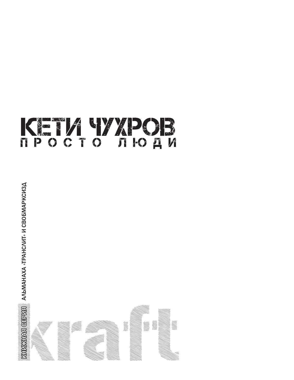



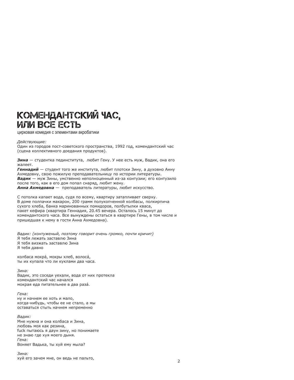# КОМЕНДАНТСКИЙ ЧАС. ИЛИ ВСЕ ЕСТЬ

цирковая комедия с элементами акробатики

Действующие:

Один из городов пост-советского пространства, 1992 год, комендантский час (сцена коллективного доедания продуктов).

Зина — студентка пединститута, любит Гену, У нее есть муж, Вадик, она его жалеет.

Геннадий - студент того же института, любит плотски Зину, а духовно Анну Ахмедовну, свою пожилую преподавательницу по истории литературы. Вадик - муж Зины, умственно неполноценный из-за контузии; его контузило после того, как в его дом попал снаряд, любит жену.

Анна Ахмедовна - преподаватель литературы, любит искусство.

С потолка капает вода, судя по всему, квартиру затапливает сверху. В доме полпачки макарон, 200 грамм полукопченной колбасы, полкирпича сухого хлеба, банка маринованных помидоров, полбутылки кваса, пакет кефира (квартира Геннадия, 20.45 вечера. Осталось 15 минут до комендантского часа. Все вынуждены остаться в квартире Гены, в том числе и пришедшая к нему в гости Анна Ахмедовна).

Вадик: (контуженый, поэтому говорит очень громко, почти кричит) Я тебя лежать заставлю Зина Я тебя визжать заставлю Зина Я тебя давно

колбаса мокра́, мокры хлеб, волоса́, ты их купала что ли куклами два часа.

Зина: Вадик, это соседи уехали, вода от них протекла комендантский час начался мокрая еда питательнее в два раза.

Гена: ну и начнем ее хоть и мало, когда-нибудь, чтобы ее не стало, а мы оставаться стыть начнем непременно

Вадик: Мне нужна и она колбаса и Зина, любовь моя как резина, fuck пытаюсь я даун зину, но понимаете не знаю где хуя моего дыня. Гена: Воняет Вадька, ты хуй ему мыла?

Зина: хуй его зачем мне, он ведь не пальто,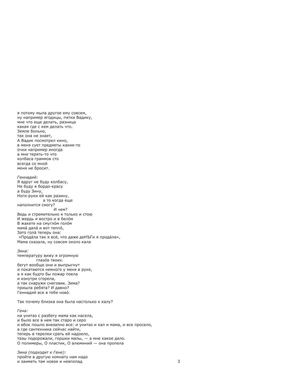я потому мыла другое ему совсем, ну например ягодицы, пятки Вадику, мне что еще делать, разница какая гле с кем лелать что. Земле больно. так она не знает. А Вадик посмотрел кино. в меня сует предметы какие-то очки например иногда а мне терять-то что колбаса граммов сто всегда со мной меня не бросит.

Генналий: Я вдруг не буду колбасу, Не буду я бордо-красу а буду Зину, Ноги-руки ей как разину. а то когда еще наполнится смогу? И чем? Ведь и стремительно я только и стою И жердь и востро и в белом В жакете на смуглом голом мама́ дала́ и вот тепло́. Зато гола́ теперь она: «Прода́ла так я всё, что даже деНЪГи я прода́ла», Мама сказала, ну совсем около кала

### $3$ ина $\cdot$

температуру вижу я огромную глазов твоих. бегут вообще они и выпрыгнут и покатаются немного у меня в руке, а я как будто бы пожар поела и изнутри сгорела, а так снаружи снеговик. Зима? пришла ребята? И давно? Геннадий все в тебе ново.

Так почему близка она была настолько к калу?

Гена: на унитаз с разбегу мама как насела, и было все в нем так старо и серо и вбок пошло внезапно все: и унитаз и кал и мама, и все просело, а где сантехника сейчас найти, теперь в тарелки срать ей надоело, тазы подорожали, горшки малы, - а мне какое дело. О полимеры, О пластик, О алюминий - она пропела

Зина (подходит к Гене): пройти в другую комнату нам надо и заиметь там новое и невпопад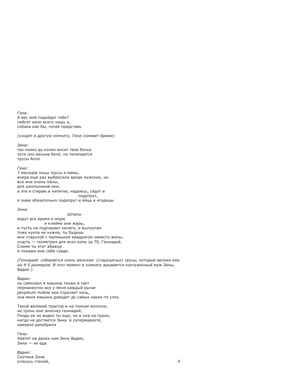Гена: А вес мой подойдет тебе? пейсят кило всего лишь я, собака как бы, голая представь

(уходят в другую комнату, Гена снимает брюки)

Зина: так низко до колен висит твое белье хотя оно весьма бело, но телепаются трусы Алло

Гена: 7 месяцев ношу трусы я мамы, вчера еще раз выбросили вроде мужских, но все мне очень малы, для школьников они. а эти я стираю в кипятке, надеюсь, сядут и подопрут, я знаю обязательно подопрут и яйца и ягодицы

Зина:

Шпалы

ведут все время к морю и клеймо они жары, и пусть не подпирает ничего, и выпуклая тоже кукла не нужна, ты будешь мне старухой с маленьким квадратом заместо жопы, участь — геометрия для всех кому за 70, Геннадий. Сними ты этот абажур и покажи мне себя сзади.

(Геннадий собирается снять женские (старушечьи) трусы, которые велики ему на 4-5 размеров. В этот момент в комнату врывается контуженный муж Зины, Вадик).

Валик:

ну самосвал я машина тикаю в такт перманентно все у меня каждый рычаг perpetum mobile мое стреляет ночь, она меня машину доводит до самых каких-то слез.

Такой великий трактор и на тонком волоске, не тронь мне зиночку геннадий, Пизду ее не видел ты еще, но и она на грани, нигде не достается Зина в супермаркете, наверно разобрали

Гена: Хватит на двоих нам Зину Вадик, Зина - не еда

Вадик: Скотина Зина клянусь стеной,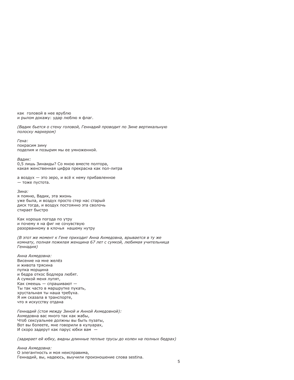как головой в нее врублю и рылом докажу: удар люблю я флаг.

(Вадик бьется о стену головой, Геннадий проводит по Зине вертикальную полоску маркером)

Гена: покрасим зину поделим и позырим мы ее умноженной.

Валик: 0.5 лишь Зинаиды? Со мною вместе полтора. какая женственная цифра прекрасна как пол-литра

а воздух - это зеро, и всё к нему прибавленное - тоже пустота.

Зина: я помню, Вадик, эта жизнь уже была, и воздух просто стер нас старый диск тогда, и воздух постоянно эта сволочь стирает быстро

Как хороша погода по утру и почему я на фиг не сочувствую разорванному в клочья нашему нутру

(В этот же момент к Гене приходит Анна Ахмедовна, врывается в ту же комнату, полная пожилая женщина 67 лет с сумкой, любимая учительница Геннадия)

Анна Ахмедовна: Висение на мне желёз и живота трясина пупка морщина и бедра откос Бодлера любят. А сумкой меня лупят, Как смеешь — спрашивают — Ты так часто в маршрутке пукать. хрустальная ты наша требуха. Я им сказала в транспорте, что я искусству отдана

Геннадий (стоя между Зиной и Анной Ахмедовной): Ахмедовна вас много так как жабы, Чтоб сексуальнее должны вы быть пузаты, Вот вы болеете, мне говорили в кулуарах, И скоро задерут как парус юбки вам -

(задирает ей юбку, видны длинные теплые трусы до колен на полных бедрах)

Анна Ахмедовна: О элегантность и моя неисправима, Геннадий, вы, надеюсь, выучили произношение слова sestina.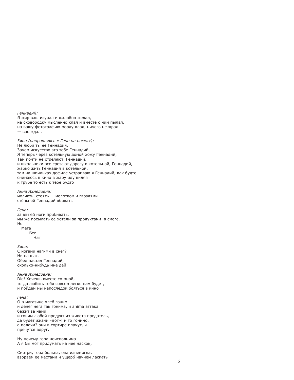Генналий: Я жир ваш изучал и жалобно желал, на сковородку мысленно клал и вместе с ним пылал. на вашу фотографию морду клал, ничего не жрал -— вас ждал.

Зина (направляясь к Гене на носках): Не люби ты ее Геннадий, Зачем искусство это тебе Геннадий, Я теперь через котельную домой хожу Геннадий, Там почти не стреляют, Геннадий, и школьники все срезают дорогу в котельной. Геннадий. жарко жить Геннадий в котельной. там на шпильках дефиле устраиваю я Геннадий, как будто снимаюсь в кино в жару иду виляя к трубе то есть к тебе будто

Анна Ахмедовна: молчать, стоять - молотком и гвоздями сто́пы ей Геннадий вбивать

Гена: зачем ей ноги прибивать, мы же посылать ее хотели за продуктами в смоге. Hor Мега

 $-<sub>6er</sub>$ Har

 $3$ ина $\cdot$ С ногами нагими в снег? Ни на шаг. Обед настал Геннадий, сколько-нибудь мне дай

Анна Ахмедовна: Die! Хочешь вместе со мной, тогда любить тебя совсем легко нам будет. и пойдем мы напоследок бояться в кино

Гена:

О в магазине хлеб гоним и денег нега так гонима, и anima аттака бежит за нами, и гоним любой продукт из живота предатель, да будет жизни «вот»! и то гонимо, а палачи? они в сортире плачут, и прячутся вдруг.

Ну почему гора неисполнима А я бы мог придумать на нее наскок,

Смотри, гора больна, она изнемогла, взорвем ее местами и ущерб начнем ласкать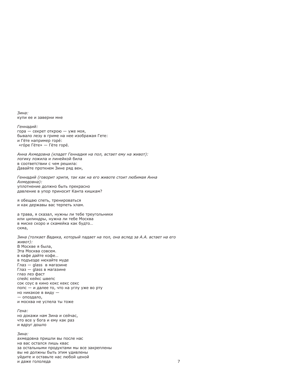$3$ ина $\cdot$ купи ее и заверни мне

Генналий: гора — секрет открою — уже моя, бывало лезу в гриме на нее изображая Гете: и Гёте например горе́: «го́ре Гёте» — Гёте горе́.

Анна Ахмедовна (кладет Геннадия на пол, встает ему на живот): логику ложила и линейкой била в соответствии с чем решила: Давайте проткнем Зине ряд вен,

Геннадий (говорит хрипя, так как на его животе стоит любимая Анна Ахмедовна): уплотнение должно быть прекрасно давление в упор приносит Канта кишкам?

я обещаю спеть, тренироваться и как державы вас терпеть хлам.

а трава, я сказал, нужны ли тебе треугольники или цилиндры, нужна ли тебе Москва в миске скоро и скамейка как будто... скма.

Зина (толкает Вадика, который падает на пол, она вслед за А.А. встает на его живот): В Москве я была, Эта Москва совсем. в кафе дайте кофе... в подъезде нюхайте муде Глаз - glass в магазине Глаз - glass в магазине глаз лез фаст спейс кейкс швепс сок соус в кино кокс кекс секс попс - и далее то, что на углу уже во рту но никакое в виду - $-$  опоздало, и москва не успела ты тоже

Гена: но докажи нам Зина и сейчас, что все у бога и ему как раз и вдруг дошло

Зина: ахмедовна пришли вы после нас на вас остался лишь квас за остальными продуктами мы все закреплены вы не должны быть этим удивлены уйдите и оставьте нас любой ценой и даже гололеда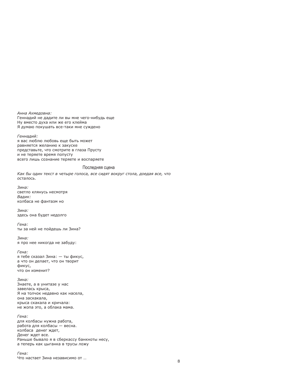Анна Ахмедовна: Геннадий не дадите ли вы мне чего-нибудь еще Ну вместо духа или же его клейма Я думаю покушать все-таки мне суждено

Геннадий: я вас люблю любовь еше быть может равняется желанию к закуске представьте, что смотрите в глаза Прусту и не теряете время попусту всего лишь сознание теряете и воспаряете

# Последняя сцена

Как бы один текст в четыре голоса, все сидят вокруг стола, доедая все, что  $OCTAIOCH$ 

Зина: светло клянусь несмотря Вадик: колбаса не фантазм но

Зина: здесь она будет недолго

Гена: ты за ней не пойдешь ли Зина?

 $3$ ина $\cdot$ я про нее никогда не забуду:

Гена: я тебе сказал Зина: - ты фикус, а что он делает, что он творит фикус, что он изменит?

Зина: Знаете, а в унитазе у нас завелась крыса, Я на толчок недавно как насела, она заскакала, крыса скакала и кричала: не жопа это, а облака мама.

Гена: для колбасы нужна работа, работа для колбасы — весна. колбаса денег ждет, Денег ждет все. Раньше бывало я в сберкассу банкноты несу, а теперь как цыганка в трусы ложу

Гена: Что настает Зина независимо от ...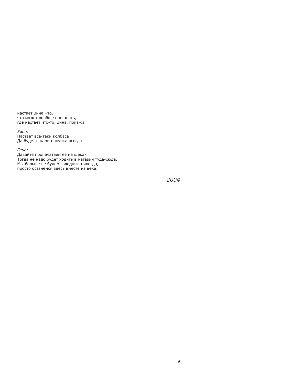настает Зина Что, что может вообще наставать, где настает что-то, Зина, покажи

Зина: Настает все-таки колбаса Да будет с нами покупка всегда

Гена: Давайте пропечатаем ее на щеках Тогда не надо будет ходить в магазин туда-сюда, Мы больше не будем голодные никогда, просто останемся здесь вместе на века.

2004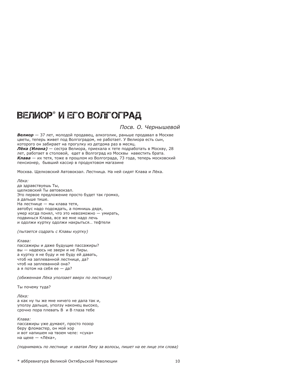# ВЕЛИОР\* И ЕГО ВОЛГОГРАД

# Посв. О. Чернышевой

Велиор — 37 лет, молодой продавец, алкоголик, раньше продавал в Москве цветы, теперь живет под Волгоградом, не работает. У Велиора есть сын, которого он забирает на прогулку из детдома раз в месяц.

Лёка (Илона) — сестра Велиора, приехала к тете подработать в Москву, 28 лет, работает в столовой, едет в Волгоград из Москвы навестить брата. Клава — их тетя, тоже в прошлом из Волгограда, 73 года, теперь московский пенсионер, бывший кассир в продуктовом магазине

Москва. Щелковский Автовокзал. Лестница. На ней сидят Клава и Лёка.

Лёка:

да здравствуешь Ты, шелковский Ты автовокзал. Это первое предложение просто будет так громко, а дальше тише. На лестнице - мы клава тетя. автобус надо подождать, а помнишь дядя, умер когда понял, что это невозможно - умирать. подвинься Клава, все же мне надо лечь и одолжи куртку одолжи накрыться... тефтели

(пытается содрать с Клавы куртку)

Клава:

пассажиры и даже будущие пассажиры? вы - надеюсь не звери и не Лиры. а куртку я не буду и не буду ей давать, чтоб на заплеванной лестнице, да? чтоб на заплеванной она? а я потом на себя ее - да?

(обиженная Лёка уползает вверх по лестнице)

Ты почему туда?

Лёка: а как ну ты же мне ничего не дала так и, уползу дальше, уползу наконец высоко, срочно пора плевать В и В глаза тебе

Клава: пассажиры уже думают, просто позор беру фломастер, он мой хор и вот напишем на твоем челе: «сука» на щеке — «Лёка»,

(поднимаясь по лестнице и хватая Леку за волосы, пишет на ее лице эти слова)

\* аббревиатура Великой Октябрьской Революции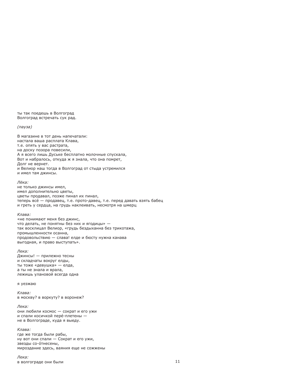ты так поедешь в Волгоград Волгоград встречать сук рад.

### (пауза)

В магазине в тот день напечатали: настала ваша расплата Клава. т.е. опять у вас растрата. на доску позора повесили, А я всего лишь Дуське бесплатно молочные спускала, Вот и набралось, откуда ж я знала, что она помрет, Долг не вернет. и Велиор наш тогда в Волгоград от стыда устремился и имел там джинсы.

### **Лёка**

не только джинсы имел, имел дополнительно цветы, цветы продавал, позже пинал их пинал, теперь все́ — продавец, т.е. прото-давец, т.е. перед давать взять бабец и греть у сердца, на грудь наклеивать, несмотря на шмерц

### Клава:

«не понимают меня без лжинс. что делать, не понятны без них и ягодицы» так восклицал Велиор, «грудь бездыханна без трикотажа, промышленности осанна, продовольствию - слава! елде и бюсту нужна канава выгодная, и право выступать».

### Лека:

Джинсы! - прилежно тесны и складчаты вокруг елды, ты тоже «девушка» — елда, а ты не знала и врала, лежишь улановой всегда одна

я уезжаю

Клава: в москву? в воркуту? в воронеж?

Лека: они любили космос - сократ и его ужи и спали косичкой пере-плетены не в Волгограде, куда я выеду.

Клава: где же тогда были рабы, ну вот они спали - Сократ и его ужи, звезды со-о́тнесены, мироздание здесь, ваяния еще не сожжены

Лека: в волгограде они были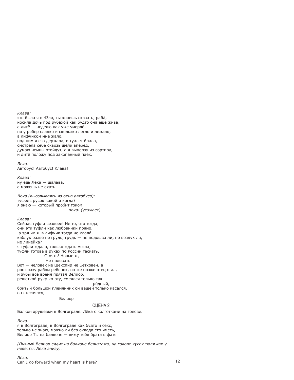Клава: это была я в 43-м, ты хочешь сказать, раба, носила дочь под рубахой как будто она еще жива. а дитё — неделю как уже умерло́, но у ребер сладко и скользко легло и лежало, а лифчиком мне жало, под ним я его держала, в туалет брала, смотрела себе сквозь шели вперед. думаю немцы отойдут, а я выползу из сортира, и дитё положу под закопанный паёк.

Лека: Автобус! Автобус! Клава!

Клава: ну едь Лёка — шалава, а можешь не ехать.

Лека (высовываясь из окна автобуса): туфель русок какой и когда? я знаю - который пробит током, пока! (уезжает).

Клава:

Сейчас туфли вездеее! Не то, что тогда, они эти туфли как любовники прямо, а зря их я в лифчик тогда не клала, каблук разве не грудь, грудь - не подошва ли, не воздух ли, не линейка? я туфли ждала, только ждать могла, туфли готова в руках по России таскать, Стоять! Новые ж. Не надевать! Вот - человек не Шекспир не Бетховен, а рос сразу рабом ребенок, он же позже отец стал, и зубы все время прятал Велиор, решеткой руку ко рту, смеялся только так ро́дный.

бритый большой племянник он вешей только касался. он стеснялся,

Велиор

# CLIEHA<sub>2</sub>

Балкон хрущевки в Волгограде. Лёка с колготками на голове.

Лека:

я в Волгограде, в Волгограде как будто и секс, только не знаю, можно ли без оклада его иметь, Велиор Ты на балконе - вижу тебя брата в фате

(Пьяный Велиор сидит на балконе бельэтажа, на голове кусок тюля как у невесты. Лека внизу).

Лёка: Can I go forward when my heart is here?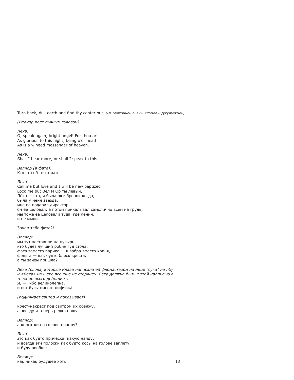Turn back, dull earth and find thy center out [Из балконной сцены «Ромео и Джульетты»]

(Велиор поет пьяным голосом)

**Лека** O, speak again, bright angel! For thou art As glorious to this night, being o'or head As is a winged messenger of heaven.

Лека:

Shall I hear more, or shall I speak to this

Велиор (в фате): KTO 3TO AG TROIO MATH

**Лека** 

Call me but love and I will be new baptized Lock me but Вел И Ор ты левый. Лёка — это, я была октябренок когда, была у меня звезда, мне ее подарил директор, он ее целовал, а потом прикалывал самолично всем на грудь, мы тоже ее целовали туда, где ленин, и не мыли.

Зачем тебе фата?!

Велиор: мы тут поставили на пузырь кто будет лучший робин гуд стола, фата заместо парика - швабра вместо копья, фольга - как будто блеск креста, а ты зачем пришла?

Лека (слова, которые Клава написала ей фломастером на лице "сука" на лбу и «Лека» на щеке все еще не стерлись. Лека должна быть с этой надписью в течение всего действия): Я. - ибо великолепна. и вот бусы вместо лифчика

(поднимает свитер и показывает)

крест-накрест под свитром их обвяжу, а звезду я теперь редко ношу

Велиор: а колготки на голове почему?

Лека: это как будто прическа, какую найду, и всегда эти полоски как будто косы на голове заплету, и буду вообще

Велиор: как никак будущее хоть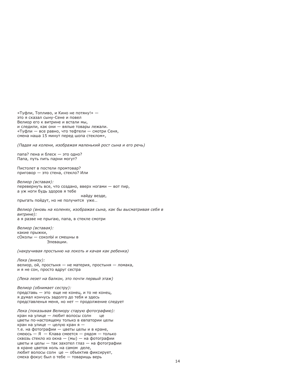«Туфли, Топливо, и Кино не потяну!» это я сказал сыну-Сене и повел Велиор его к витрине и встали мы, и следили, как они - вялые товары лежали. «Туфли - все равно, что тефтели - смотри Сеня, смена наша 15 минут перед шопа стеклом»,

(Падая на колени, изображая маленький рост сына и его речь)

папа? пена и блеск - это одно? Папа, путь пить парни могут?

Пистолет в постели промтовар? приговор - это стена, стекло? Или

Велиор (вставая): перевернуть все, что создано, вверх ногами - вот пир, а уж ноги будь здоров я тебе найду везде,

прыгать пойдут, но не получится уже...

Велиор (вновь на коленях, изображая сына, как бы высматривая себя в витрине): а я разве не прыгаю, папа, в стекле смотри

Велиор (вставая): какие прыжки, сОколы - соколЫ и смешны в Элевации.

(накручивая простыню на локоть и качая как ребенка)

Лека (внизу): велиор, ой, простыня — не материя, простыня — ломака, и я не сон, просто вдруг сестра

(Лека лезет на балкон, это почти первый этаж)

Велиор (обнимает сестру): представь - это еще не конец, и то не конец, я думал кончусь задолго до тебя и здесь представленья меня, но нет - продолжение следует

Лека (показывая Велиору старую фотографию): кран на улице - любит волосы солн це цветы по-настоящему только в евпатории целы кран на улице - целую кран я т.е. на фотографии - цветы целы и в кране, смеюсь - Я - Клава смеется - рядом - только сквозь стекло из окна - (мы) - на фотографии цветы и целы - так захотел глаз - на фотографии в кране цветов ноль на самом деле, любит волосы солн це - объектив фиксирует, смеха фокус был о тебе - товарищь верь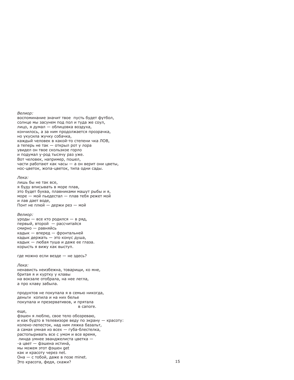Велиор:

воспоминание значит твое пусть будет футбол, солнце мы засунем под пол и туда же соул. лицо, я думал — облицовка воздуха, кончилось, а за ним продолжается прозрачка, но укусила жучку собачка, каждый человек в какой-то степени чка ЛОВ. а теперь не так - открыл рот у лора увидел он твое скользкое горло и подумал у-род тысячу раз уже. Вот человек, например, пошел, части работают как часы — а он верит они цветы, нос-цветок, жопа-цветок, типа одни сады.

### **Лека**<sup>•</sup>

лишь бы не так все, я буду вписывать в море плав, это будет буква, плавниками машут рыбы и я, море - мой пьедестал - плав тебя режет мой и лав дает воде, Понт не плюй - держи рез - мой

### Велиор:

уроды - все кто родился - в ряд. первый, второй - рассчитайся смирно - равняйсь кадык — вперед — фронтальней кадык держать - это конус душа, кадык — любая туша и даже ее глаза. корысть я вижу как выступ.

где можно если везде - не здесь?

### Лека:

ненависть неизбежна, товарищи, ко мне, бритая я и куртку у клавы на вокзале отобрала, на нее легла, а про клаву забыла.

продуктов не покупала я в семью никогда, деньги копила и на них белье покупала и презервативов, и прятала в сапоге.

еше.

фэшен я люблю, свое тело обозреваю, и как будто в телевизоре веду по экрану - красоту: колено-лепесток, над ним ляжка базальт, а самая умная из всех — губа-блестелка, растопыривать все с умом и все время, линда умнее эванджелиста цветка --а цвет — фэшена истина́, мы можем этот фэшен get как и красоту через net. Она — с тобой, даже в позе minet. Это красота, федя, скажи?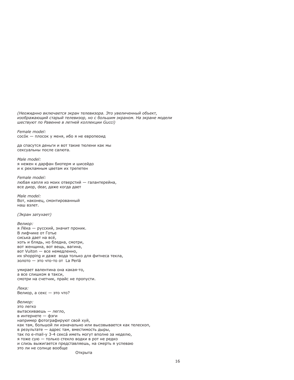(Неожиднно включается экран телевизора. Это увеличенный объект, изображающий старый телевизор, но с большим экраном. На экране модели шествуют по Равенне в летней коллекции Gucci) Female model: сосок - плосок у меня, ибо я не европеоид да спасутся деньги и вот такие тюлени как мы сексуальны после салюта. Male model<sup>.</sup> я нежен к дарфан биотерм и шисейдо и к рекламным цветам их трепетен Female model: любая капля из моих отверстий - галантерейна, все диор, dear, даже когда дает Male model<sup>.</sup> Вот, наконец, смонтированный наш взлет. (Экран затухает) Велиор: я Лёка — русский, значит проник. В лифчике от Готье сиська дает на все. хоть и блядь, но бледна, смотри, вот женщина, вот вещь, вагина, вот Vuiton - все немедленно, их shopping и даже вода только для фитнеса текла. золото - это что-то от La Perlá умирает валентина она какая-то, а все слишком в такси. смотри на счетчик, прайс не пропусти. Лека: Велиор, а секс - это что? Велиор: это легко вытаскиваешь - легло, в интернете — фэги например фотографируют свой хуй, как там, большой ли изначально или высовывается как телескоп, в результате - адрес там, вместимость дыры, так по e-mail-у 3-4 секса иметь могут вполне за неделю, я тоже сую - только стекло водки в рот не редко и слизь выжигается представляешь, на смерть я успеваю это ли не солнце вообще Открыта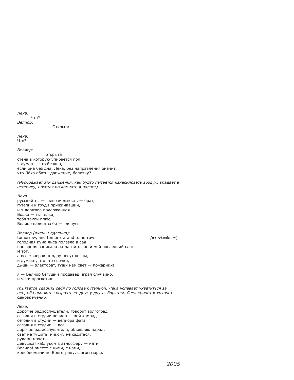Лека: Что? Велиор:

Открыта

**Лека**  $4T<sub>0</sub>$ ?

Велиор:

открыта стена в которую упирается пол, я думал - это бездна, если она без дна, Лёка, без направления значит, что Лёка ебать: движение, белизну?

(Изображает эти движения, как будто пытается изнасиловать воздух, впадает в истерику, носится по комнате и падает)

**Лека** русский ты - невозможность - брат, гуталин к груди прижимавший, и я держава подержанная. Водка - ты телка, тебя такой плюс. Велиор валяет себя - клянусь.

Велиор (очень медленно): tomorrow, and tomorrow and tomorrow голодная кума лиса полезла в сад нас время записало на магнитофон и мой последний слог И тот. а все «вчера» к одру несут козлы, и думают, что это свечки, дыши - электорат, туши нам свет - пожарник!

я — Велиор бегущий продавец играл случайно, и чеки проглотил

(пытается ударить себя по голове бутылкой, Лека успевает ухватиться за нее, оба пытаются вырвать ее друг у друга, борются, Лека кричит и хохочет одновременно)

Лека: дорогие радиослушатели, говорит волгоград сегодня в студии велиор — мой камрад сегодня в студии - велиора фата сегодня в студии - всё, дорогие радиослушатели, объявляю парад, свет не тушить, никому не садиться, руками махать, девушка! каблуком в атмосферу - идти! Велиор! вместе с ними, с нами, колеблемыми по Волгограду, шагом марш.

Гиз «Макбета»]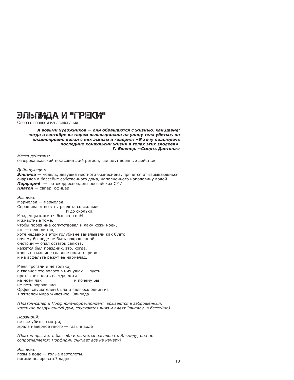# ЭЛЬПИДА И "ГРЕКИ"

Опера о военном изнасиловании

### А возьми художников - они обращаются с жизнью, как Давид: когда в сентябре из тюрем вышвыривали на улицу тела убитых, он хладнокровно делал с них эскизы и говорил: «Я хочу подстеречь последние конвульсии жизни в телах этих злодеев». Г. Бюхнер. «Смерть Дантона»

Место действия: северокавказский постсоветский регион, где идут военные действия.

Действуюшие:

Эльпида — модель, девушка местного бизнесмена, прячется от взрывающихся снарядов в бассейне собственного дома, наполненного наполовину водой Порфирий - фотокорреспондент российских СМИ Платон — сапёр, офицер

Эльпида: Мармелад — мармелад, Спрашивают все: ты раздета со скольки И до скольки. Младенцы кажется бывают голЫ и животные тоже, чтобы порез мне сопутствовал и лаку кожи моей, это - невероятно, хотя недавно в этой голубизне закалывали как будто, почему бы воде не быть покрашенной. смотрим - опал остаток салюта, кажется был праздник, это, когда, кровь на машине главное полита криво и на асфальте режут ее мармелад.

Меня трогали и не только, а главное это золото в них ушах - пусть протыкает плоть всегда, хотя на моем лак и почему бы не петь ворвавшись, Орфея слушателем была и являюсь одним из я жителей мира животное Эльпида.

(Платон-сапер и Порфирий-корреспондент врываются в заброшенный, частично разрушенный дом, спускаются вниз и видят Эльпиду в бассейне)

Порфирий: не все убиты, смотри, жрала наверное много - газы в воде

(Платон прыгает в бассейн и пытается насиловать Эльпиду, она не сопротивляется; Порфирий снимает всё на камеру)

Эльпида: позы в воде - голые вертолеты. ногами позировать? ладно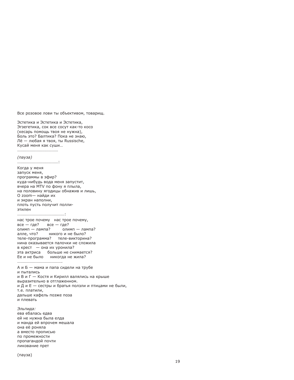Все розовое лови ты объективом, товарищ.

Эстетика и Эстетика и Эстетика, Эгзегетика, сок все сосут как-то косо (кесарь помощь твоя не нужна), Боль это? Балтика? Пока не знаю, Лё - любая я твоя, ты Russische, Кусай меня как суши...

....................................

#### (пауза)

Когда у меня запуск меня, программы в эфир? куда-нибудь вода меня запустит, вчера на MTV по фону я плыла, на половину ягодицы обнажив и лишь, О zoom-найди их и экран наполни, плоть пусть получит поллиэтилен

нас трое почему нас трое почему,  $Bce - \text{rae}$ ?  $Bce - \text{rae}$ ? олимп — лампа? олимп — лампа? алле, что? никого и не было? теле-программа? теле-викторина? нина оказывается палочки не сложила в крест - она их уронила? эта актриса больше не снимается? Ее и не было никогда не жила?

А и Б - мама и папа сидели на трубе и пытались и В и Г - Костя и Кирилл валялись на крыше выразительно в отглаженном. и Д и Е — сестры и братья ползли и птицами не были, т.е. платили, дальше кафель позже поза и плевать

Эльпида: ева ебалась едва ей не нужна была елда и манда ей впрочем мешала она её роняла а вместо прописью по промежности пропагандой почти ликование прет

(пауза)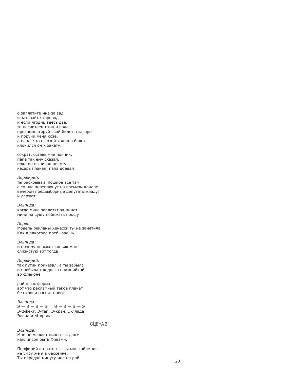о заплатите мне за зад и затевайте хоровод и если ягодиц здесь две. то посчитаем птиц в воде, прокомпостируй свой билет в зазоре и поручи меня козе, а папа, что с козой ходил в балет, клонился он к закату.

сократ, оставь мне пончик, папа так ему сказал, пока он выпивал цикуту, кесарь плакал, папа доедал

### Порфирий:

ты раскрывай пошире все там, а то нас переплюнут на восьмом канале вечером предвыборные депутаты кладут и держат.

#### Эльпида:

когда мине заплатят за минет мине на сушу побежать прошу

#### Порф:

Модель рекламы Хенесси ты не заметила Как в алкоголе пребываешь

Эльпида: и почему не жжет коньяк мне слизистую вот тогда

### Порфирий:

так путин приказал, а ты забыла и пробыла так долго олимпийкой во флаконе

рай плюс формат вот что рекламный такое плакат без крови распят новый

# Эльпида:

 $E - E - E - E$  $\theta - \theta - \theta - \theta$ Э-ффект, Э-тап, Э-кран, Э-ллада Элена и Ы-вропа

# СЦЕНА 2

Эльпида: Мне не мешает ничего, и даже каллипсол быть Фивами,

Порфирий и платон - вы мне таблетки не умру же я в бассейне. Ты передай минуту мне на рай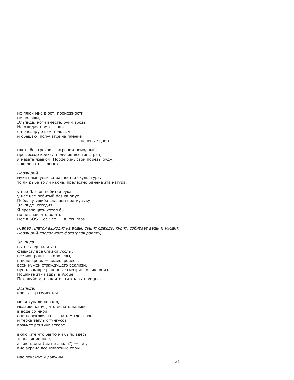не плюй мне в рот, промежности не полощи, Эльпида, ноги вместе, руки врозь Не ожидая помо ШИ я попозирую вам половым и обещаю, получатся на пленке

полевые цветы.

плоть без греков - агроном немодный, профессор крика, получив все типы ран, я мазать языком, Порфирий, свои порезы буду, лакировать - легко

Порфирий: мука плюс улыбка равняется скульптура, то ли рыба то ли икона, прелестно ранена эта натура.

у нее Платон побитая рука у нас нее побитый das ist опус. Побелку ушиба сделаем под музыку Эльпиде сегодня. Я превращать хотел бы, но не знаю что во что. Hoc  $B$  SOS. Koc Hec  $B$  Pos BBos.

(Сапер Платон выходит из воды, сушит одежду, курит, собирает вещи и уходит, Порфирий продолжает фотографировать)

Эльпида: вы не доделали укол фашисту все близки уколы, все мои раны - королевы, в воде кровь - видеопроцесс, всем нужен страждущего реализм, пусть в кадре раненные смотрят только вниз. Пошлите эти кадры в Voque Пожалуйста, пошлите эти кадры в Voque.

Эльпида: кровь - разумеется

меня купали коралл, мозаике капут, что делать дальше в воде со мной, они переключают - на там где э-рос и терка теплых тунгусов возьмет рейтинг вскоре

включите что бы то ни было здесь трансляционное, а так, цвета (вы не знали?) - нет, вне экрана все животные серы.

нас покажут и должны.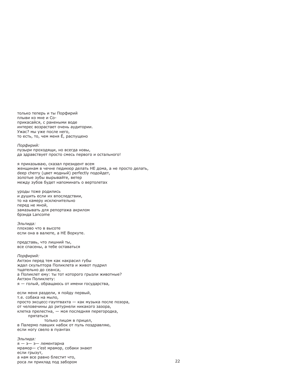только теперь и ты Порфирий плыви ко мне и Соприкасайся, с ранеными воде интерес возрастает очень аудитории. Ужас? мы уже после него, то есть, то, чем меня Ё, распущено

Порфирий: пузыри проходящи, но всегда новы, да здравствует просто смесь первого и остального!

я приказываю, сказал президент всем женщинам в чечне педикюр делать НЕ дома, а не просто делать, deep cherry (цвет модный) perfectly подойдет, золотые зубы вырывайте, ветер между зубов будет напоминать о вертолетах

уроды тоже родились и душить если их впоследствии, то на камеру исключительно перед не мной. замазывать для репортажа акрилом брэнда Lancome

Эльпида: плохово что в высоте если она в валюте, а НЕ Воркуте.

представь, что лишний ты, все спасены, а тебе оставаться

Порфирий: Актэон перед тем как накрасил губы ждал скульптора Поликлета и живот пудрил тщательно до сеанса, а Поликлет ему: ты тот которого грызли животные? Актэон Поликлету: я — голый, обращаюсь от имени государства,

если меня раздели, я пойду первый, т.е. собака на мыло, просто эксцесс-гауптвахта - как музыка после позора, от человечины до ритурнели никакого зазора, клетка прелестна, - моя последняя перегородка, прятаться только лицом в прицел, в Палермо павших набок от пуль поздравляю, если ногу свело в пуантах

Эльпида: я - э- э- лементарна мрамор- c'est мрамор, собаки знают если грызут, а нам все равно блестит что, роса ли приклад под забором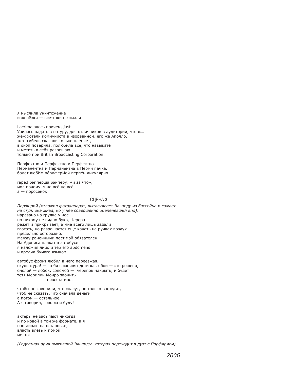я мыслила уничтожение и желёзки - все-таки не эмали

Lacrima здесь причем, just Училась падать в натуру, для отличников в аудитории, что ж... жеж хотели коммуниста в изорванном, его же Аполло, жеж гибель сказали только пленяет. в окоп поверила, полюбила все, что навыкате и метить в себя разрешаю только при British Broadcasting Corporation.

Перфектно и Перфектно и Перфектно Перманентна и Перманентна в Перми пачка. балет любИм периферИей перпен дикулярно

raped рэпперша рэйперу: «и за что», мол почему я не всё не всё а — поросенок

# CLIEHA<sub>3</sub>

Порфирий (отложил фотоаппарат, вытаскивает Эльпиду из бассейна и сажает на стул, она жива, но у нее совершенно оцепеневший вид): нарезано на грудке у нее но никому не видно букв, Церера режет и прикрывает, а мне всего лишь задали глотать, но разрешается еще качать на ручках воздух предельно осторожно. Между раненными пост мой обязателен. На Адониса плакат в автобусе я наложил лицо и тер его abdomens и вредил бумаге языком,

автобус фронт любил в него переезжая, скульптура! - тебя слюнявят дети как обои - это решено, смолой — лобок, соломой — черепок накрыть, и будет тетя Мерилин Монро звонить невеста мне.

чтобы не говорили, что спасут, но только в кредит, чтоб не сказать, что сначала деньги, а потом - остальное, А я говорил, говорю и буду!

актеры не засыпают никогда и по новой в том же формате, а я настаиваю на остановке. власть влезь и помой ме ня

(Радостная ария выжившей Эльпиды, которая переходит в дуэт с Порфирием)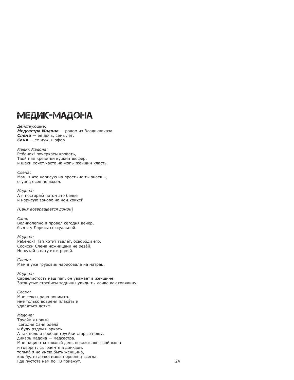# МЕДИК-МАДОНА

Действующие: Медсестра Мадона - родом из Владикавказа Слема - ее дочь, семь лет.  $C$ аня — ее муж, шофер

Медик Мадона: Ребенок! почеркаем кровать. Твой пап креветки кушает шофер, и шеки хочет часто на жопы женшин класть.

Слема: Мам, я что нарисую на простыне ты знаешь, огурец осел понюхал.

Мадона: А я постираю потом это белье и нарисую заново на нем хоккей.

(Саня возвращается домой)

Саня: Великолепно я провел сегодня вечер, был я у Ларисы сексуальной.

Мадона: Ребенок! Пап хотит твалет, освободи его. Сосиски Слема ножницами не резай. Но кутай в вату их и роняй.

Слема: Мам я уже грузовик нарисовала на матрац.

Мадона: Сарделистость наш пап, он уважает в женщине. Затянутые стрейчем задницы увидь ты дочка как говядину.

Слема: Мне сексы рано понимать мне только вовремя плакать и удаляться детке.

### Мадона:

Труси́к я новый сегодня Саня одела и буду рядом шаркать. А так ведь я вообще труси́ки старые ношу, дикарь мадона - медсестра. Мне пациенты каждый день показывают свой жопа и говорят: сыграемте в дом-дом. толька я не умею быть женщина, как будто дочка маша первенец всегда. Где пустота нам по ТВ покажут.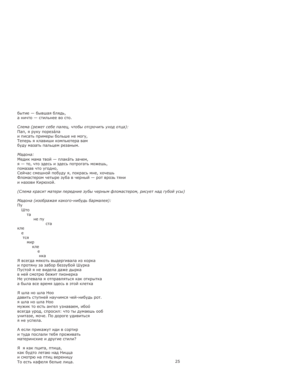бытие - бывшая блядь. а ничто - стильнее во сто.

Слема (режет себе палец, чтобы отсрочить уход отца): Пап, я руку порезала и писать примеры больше не могу, Теперь я клавиши компьютера вам буду мазать пальцем резаным.

Мадона: Медик мама твой — плакать зачем, я - то, что здесь и здесь потрогать можешь, помазав что угодно, Сейчас смешной побуду я, покрась мне, хочешь Фломастером четыре зуба в черный - рот врозь тяни и назови Кирюхой.

(Слема красит матери передние зубы черным фломастером, рисует над губой усы)

Мадона (изображая какого-нибудь бармалея): Πv  $III<sub>0</sub>$ **TA** не пу ста кле e ТСЯ мир кле e нка Я всегда мякоть выдергивала из корка и протяну за забор беззубой Шурка Пустой я не видела даже дырка в ней смотрю бежит пионерка Не успевала я отправляться как открытка а была все время здесь в этой клетка Я шла но шла Ноо давить ступней научимся чей-нибудь рот. я шла но шла Ноо мужик то есть ангел узнаваем, ибоо всегда урод, спросил: что ты думаешь ооб

унитазе, моче. По дороге удивиться я не успела.

А если прикажут иди в сортир и туда послали тебя проживать материнские и другие стили?

Я я как пцита, птица, как будто летаю над Ницца и смотрю на птиц вереницу То есть кафеля белые лица.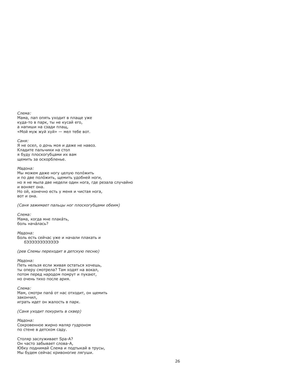Слема: Мама, пап опять уходит в плаще уже куда-то в парк, ты не кусай его, а напиши на сзади плащ, «Мой муж жуй хуй» — мел тебе вот.

Саня: Я не осел, о дочь моя и даже не навоз. Кладите пальчики на стол я буду плоскогубцами их вам щемить за оскорбленье.

Мадона: Мы можем даже ногу целую положить и по две положить, щемить удобней ноги, но я не мыла две недели один нога, где резала случайно и воняет она. Но ой, конечно есть у меня и чистая нога, вот и она.

(Саня зажимает пальцы ног плоскогубцами обеим)

Слема: Мама, когла мне плакать. боль нача́лась?

Мадона: Боль есть сейчас уже и начали плакать и EEEEEEEEEEE6

(рев Слемы переходит в детскую песню)

Мадона: Петь нельзя если живая остаться хочешь, ты оперу смотрела? Там ходят на вокал, потом перед народом помрут и пукают, но очень тихо после ария.

Слема: Мам, смотри папа от нас отходит, он щемить закончил, играть идет он жалость в парк.

(Саня уходит покурить в сквер)

Мадона: Сокровенное жирно маляр гудроном по стене в детском саду.

Столяр заслуживает Spa-A? Он часто забывает слова-А, Юбку поднимай Слема и подтыкай в трусы, Мы будем сейчас кривоногие лягуши.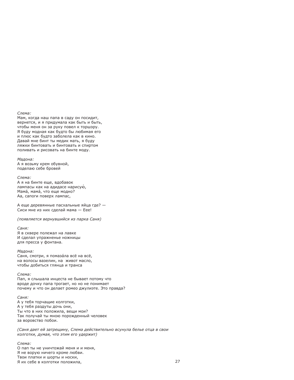# Слема:

Мам, когда наш папа в саду он посидит, вернется, и я придумала как быть и быть, чтобы меня он за руку повел к торшэру. Я буду модная как будто бы любимая его и плюс как будто заболела как в кино. Давай мне бинт ты медик мать, я буду ляжки бинтовать и бинтовать и спиртом поливать и рисовать на бинте моду.

### Мадона:

А я возьму крем обувной, поделаю себе бровей

# Слема:

А я на бинте еще, вдобавок лампасы как на адидасе нарисую, Мама́, мама́, что еще модно? Аа, сапоги поверх лампас,

А еще деревянные пасхальные яйца где? -Сиси мне из них сделай мама - Еее!

(появляется вернувшийся из парка Саня)

Саня: Я в сквере полежал на лавке И сделал упражненье ножницы для пресса у фонтана.

### Мадона:

Саня, смотри, я помаза́ла всё на всё, на волосы вазелин, на живот масло, чтобы добиться глянца и транса

Слема:

Пап, я слышала инцеста не бывает потому что вроде дочку папа трогает, но но не понимает почему и что он делает ромео джулиэте. Это правда?

### Саня:

А у тебя торчащие колготки, А у тебя раздуты дочь они, Ты что в них положила, вещи мои? Так получай ты мною порожденный человек за воровство побои.

(Саня дает ей затрещину, Слема действительно всунула белье отца в свои колготки, думая, что этим его удержит)

Слема: О пап ты не уничтожай меня и и меня. Я не ворую ничего кроме любви. Твои платки и шорты и носки, Я их себе в колготки положила,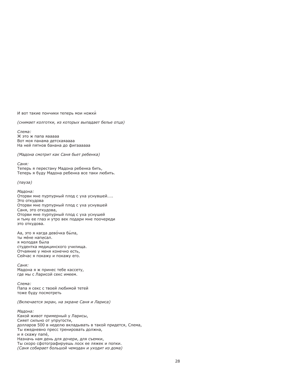И вот такие пончики теперь мои ножки

(снимает колготки, из которых выпадает белье отца)

Слема: Ж это ж папа яааааа Вот моя панама детскаяаааа На ней пятнов банана до фигаааааа

(Мадона смотрит как Саня бьет ребенка)

Саня: Теперь я перестану Мадона ребенка бить, Теперь я буду Мадона ребенка все таки любить.

(пауза)

Мадона: Оторви мне пурпурный плод с уха уснувшей..... Это откудова Оторви мне пурпурный плод с уха уснувшей Саня, это откудова, Оторви мне пурпурный плод с уха уснушей и тьму ее глаз и утро век подари мне поочереди это откудова.

Аа, это я кагда девочка была, ты мене написал. я молодая была студентка медицинского училища. Отчаяние у меня конечно есть, Сейчас я покажу и покажу его.

Саня: Мадона я ж принес тебе кассету, где мы с Ларисой секс имеем.

Слема: Папа я секс с твоей любимой тетей тоже буду посмотреть

(Включается экран, на экране Саня и Лариса)

Мадона: Какой живот примерный у Ларисы, Сияет сильно от упругости, долларов 500 в неделю вкладывать в такой придется, Слема, Ты ежедневно пресс тренировать должна, и я скажу папе́, Назначь нам день для дочери, для съемки, Ты скоро сфотографируешь лоск ее ляжек и попки. (Саня собирает большой чемодан и уходит из дома)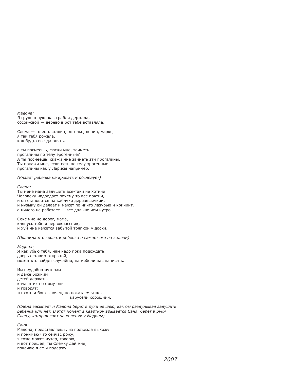Мадона: Я грудь в руке как грабли держала, сосок-свой - дерево в рот тебе вставляла.

Слема - то есть сталин, энгельс, ленин, маркс, я так тебя рожала, как будто всегда опять.

а ты посмеешь, скажи мне, заиметь прогалины по телу эрогенные? А ты посмеешь, скажи мне заиметь эти прогалины. Ты покажи мне, если есть по телу эрогенные прогалины как у Ларисы например.

(Кладет ребенка на кровать и обследует)

Слема:

Ты мене мама задушить все-таки не хотиии. Человеку надоедает почему-то все почтии, и он становится на каблуки деревяшечкии, и музыку он делает и мажет по ничто лазурью и кричиит, а ничего не работает - все дальше чем нутро.

Секс мне не дорог, мама, клянусь тебе я первоклассник. и хуй мне кажется забытой тряпкой у доски.

(Поднимает с кровати ребенка и сажает его на колени)

Мадона: Я как убью тебя, нам надо пока подождать, дверь оставим открытой. может кто зайдет случайно, на мебели нас написать.

Им неудобно мутерам и даже божиим детей держать, качают их поэтому они И ГОВОДЯТ: ты хоть и бог сыночек, но покатаемся же, карусели хорошиии.

(Слема засыпает и Мадона берет в руки ее шею, как бы раздумывая задушить ребенка или нет. В этот момент в квартиру врывается Саня, берет в руки Слему, которая спит на коленях у Мадоны)

Саня: Мадона, представляешь, из подъезда выхожу и понимаю что сейчас рожу, я тоже может мутер, говорю, и вот пришел, ты Слемку дай мне, покачаю я ее и подержу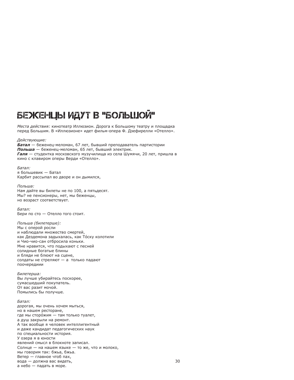# БЕЖЕНЦЫ ИДУТ В "БОЛЬШОЙ"

Места действия: кинотеатр Иллюзион. Дорога к Большому театру и плошадка перед Большим, В «Иллюзионе» идет фильм-опера Ф. Дзефирелли «Отелло».

Действующие: Батал — беженец-меломан, 67 лет, бывший преподаватель партистории Польша - беженец-меломан, 65 лет, бывший электрик. Галя - студентка московского музучилища из села Шумячи, 20 лет, пришла в кино с клавиром оперы Верди «Отелло».

Батал: я большевик — Батал Карбит рассыпал во дворе и он дымился.

Польша: Нам дайте вы билеты не по 100, а пятьдесят. Мы? не пенсионеры, нет, мы беженцы, но возраст соответствует.

Батал: Бери по сто - Отелло того стоит.

Польша (билетерше): Мы с оперой росли и наблюдали множество смертей, как Дездемона задыхалась, как То́ску колотили и Чио-чио-сан отбросила коньки. Мне нравится, что подыхают с песней солидные богатые блины и бляди не блюют на сцене. солдаты не стреляют - а только падают поочередиии

Билетерша: Вы лучше убирайтесь поскорее, сумасшедший покупатель. От вас разит мочой. Помылись бы получше.

Батал: дорогая, мы очень хочем мыться, но в нашем ресторане, где мы сторо́жим — там только туалет, а душ закрыли на ремонт. А так вообще я человек интеллигентный и даже кандидат педагогических наук по специальности история. У озера я в юности явлений смысл в блокноте записал. Солнце - на нашем языке - то же, что и молоко. мы говорим так: бжьа, бжьа. Ветер - главное чтоб пах, вода - должна вас видеть, а небо - падать в море.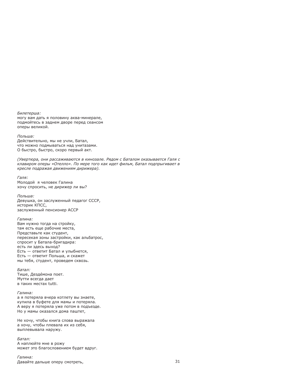Билетерша: могу вам дать я половину аква-минерале, подмойтесь в заднем дворе перед сеансом оперы великой.

Польша: Действительно, мы не учли, Батал, что можно подмываться над унитазами. О быстро, быстро, скоро первый акт.

(Увертюра, они рассаживаются в кинозале. Рядом с Баталом оказывается Галя с клавиром оперы «Отелло». По мере того как идет фильм, Батал подпрыгивает в кресле подражая движениям дирижера).

Галя: Молодой я человек Галина хочу спросить, не дирижер ли вы?

Польша: Девушка, он заслуженный педагог СССР, историк КПСС. заслуженный пенсионер АССР

Галина: Вам нужно тогда на стройку, там есть еще рабочие места, Представьте как студент, пересекая зоны застройки, как альбатрос, спросит у Батала-бригадира: есть ли здесь выход? Есть - ответит Батал и улыбнется, Есть — ответит Польша, и скажет мы тебя, студент, проведем сквозь.

Батал: Тише, Дездемона поет. Мутти всегда дает в таких местах tutti.

Галина: а я потеряла вчера котлету вы знаете, купила в буфете для мамы и потеряла. А веру я потеряла уже потом в подъезде. Но у мамы оказался дома паштет,

Не хочу, чтобы книга слова выражала а хочу, чтобы плевала их из себя, выплевывала наружу.

Батал: А наплюйте мне в рожу может это благословением будет вдруг.

Галина: Давайте дальше оперу смотреть,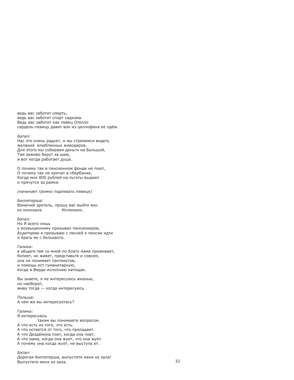ведь вас заботит смерть. ведь вас заботит спорт садизма. Ведь вас заботит как певец Отелло сардель-певицу давит вон из целлофана ее одёж.

### Батал:

Нас это очень радует, и мы стремимся видеть желания влюбленных живодеров. Для этого мы собираем деньги на Большой, Там заживо берут за шею, и вот когда работает душа.

О почему так в пенсионном фонде не поют, О почему так не кричат в сбербанке, Когда мне 800 рублей на льготы выдают и прячутся за рамки.

(начинает громко подпевать певице)

Биллетерша: Вонючий зритель, прошу вас выйти вон из кинозала Иллюзион.

Батал: Но Я всего лишь к возвышенному призывал пенсионеров, Аудиторию я призываю с песней к пенсии идти и брать ее с бельканто.

### Галина:

в общаге там со мной по блату мама проживает, болеет, но живет, представьте и совсем, она не понимает пантеистов, и помощь ест гуманитарную, когда я Верди исполняю натощак.

Вы знаете, я не интересуюсь жизнью, но наоборот, живу тогда - когда интересуюсь.

Польша: А чем же вы интересуетесь?

Галина: Я интересуюсь таким вы понимаете вопросом. А что есть из того, что есть. А что остается от того, что пропадает. А что Дездемона поет, когда она поет. А что мама, когда она жует, что она жует. А почему она когда жует, не выступа ет.

Батал: Дорогая биллетерша, выпустите меня из зала! Выпустите меня из зала.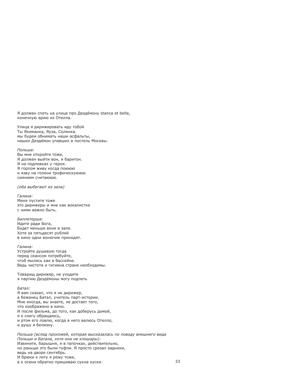Я должен спеть на улице про Дезде́мону stanca et bella. конечную арию из Отелла.

Улица я дирижировать иду тобой Ты Якиманка, Яуза, Солянка. мы будем обнимать наши асфальты, наших Дездемон упавших в постель Москвы.

### Польша:

Вы мне откройте тоже, Я должен выйти вон, я баритон. Я на подпевках у героя. Я горлом живу когда поююю и язву на голени трофическуююю сиянием считаююю.

(оба выбегают из зала)

Галина: Меня пустите тоже это дирижеры и мне как вокалистке с ними важно быть.

Биллетерша: Идите ради Бога. Будет меньше вони в зале. Хотя за пятьдесят рублей в кино одни вонючие приходят.

Галина: Устройте душевую тогда перед сеансом потребуйте. чтоб мылись как в бассейне. Ведь чистота и гигиена стране необходимы.

Товарищ дирижер, не уходите я партию Дездемоны могу подпеть

Батал: Я вам сказал, что я не дирижер, а беженец Батал, учитель парт-истории. Мне иногда, вы знаете, не достает того, что изображено в кино. И после фильма, до того, как доберусь домой, я к снегу обращаюсь, и ртом его ловлю, когда в него валюсь Отелло. и душу я белизну.

Польша (вслед прохожей, которая высказалась по поводу внешнего вида Польши и Батала, хотя они не клошары): Извините, барышня, я в тапочках, действительно, но раньше это были туфли. Я просто срезал задники, ведь на дворе сентябрь. И брюки к лету я режу тоже, а к осени обратно пришиваю сукна куски.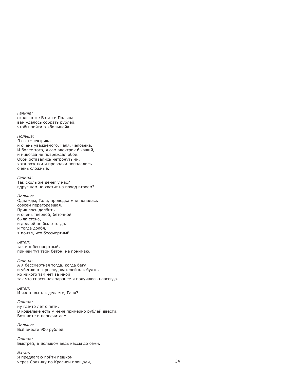Галина: сколько же Батал и Польша вам удалось собрать рублей. чтобы пойти в «большой».

Польша: Я сын электрика и очень уважаемого. Галя, человека. И более того, я сам электрик бывший, и никогда не повреждал обои. Обои оставались нетронутыми, хотя розетки и проводки попадались очень сложные.

Галина: Так сколь же денег у нас? вдруг нам не хватит на поход втроем?

# Польша:

Однажды, Галя, проводка мне попалась совсем перегоревшая. Пришлось долбить и очень твердой, бетонной была стена. и дрелей не было тогда. и тогда долбя, я понял, что бессмертный.

Батал:

так и я бессмертный, причем тут твой бетон, не понимаю.

# Галина:

А я бессмертная тогда, когда бегу и убегаю от преследователей как будто, но никого там нет за мной. так что спасенная заранее я получаюсь навсегда.

Батал: И часто вы так делаете, Галя?

### Галина:

ну где-то лет с пяти. В кошельке есть у меня примерно рублей двести. Возьмите и пересчитаем.

Польша: Всё вместе 900 рублей.

Галина: Быстрей, в Большом ведь кассы до семи.

Батал: Я предлагаю пойти пешком через Солянку по Красной площади,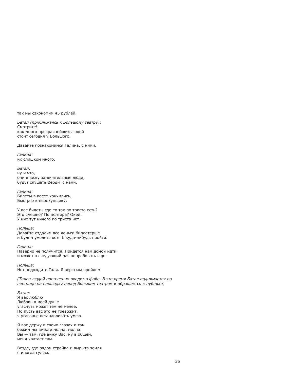так мы сэкономим 45 рублей.

Батал (приближаясь к Большому театру): Смотрите! как много прекраснейших людей стоит сегодня у Большого.

Давайте познакомимся Галина, с ними.

Галина: ИХ СЛИШКОМ МНОГО

Батал: ну и что. они я вижу замечательные люди, будут слушать Верди с нами.

Галина: Билеты в кассе кончились, Быстрее к перекупщику.

У вас билеты где-то так по триста есть? Это смешно? По полтора? Окей. У них тут ничего по триста нет.

Польша: Давайте отдадим все деньги биллетерше и будем умолять хотя 6 куда-нибудь пройти.

Галина: Наверно не получится. Придется нам домой идти, и может в следующий раз попробовать еще.

Польша: Нет подождите Галя. Я верю мы пройдем.

(Толпа людей постепенно входит в фойе. В это время Батал поднимается по лестнице на площадку перед Большим театром и обращается к публике)

Батал: Я вас люблю Любовь в моей душе угаснуть может тем не менее. Но пусть вас это не тревожит, я угасанье останавливать умею.

Я вас держу в своих глазах и там бежим мы вместе молча, молча. Вы - там, где вижу Вас, ну в общем, меня хватает там.

Везде, где рядом стройка и вырыта земля я иногда гуляю.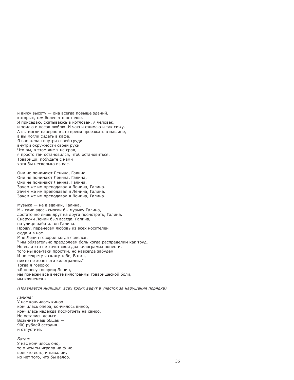и вижу высоту - она всегда повыше зданий. которых, тем более что нет еще. Я приседаю, скатываюсь в котлован, я человек, и землю и песок люблю. И чаю и сжимаю и так сижу. А вы могли наверно в это время проезжать в машине. а вы могли сидеть в кафе. Я вас желал внутри своей груди, внутри окружности своей руки. Что вы, в этом яме я не срал, я просто там остановился, чтоб остановиться. Товарищи, побудьте с нами хотя бы несколько из вас.

Они не понимают Ленина. Галина. Они не понимают Ленина, Галина, Они не понимают Ленина, Галина, Зачем же им преподавал я Ленина, Галина. Зачем же им преподавал я Ленина, Галина. Зачем же им преподавал я Ленина, Галина.

Музыка - не в здании, Галина, Мы сами здесь смогли бы музыку Галина, достаточно лишь друг на друга посмотреть, Галина. Снаружи Ленин был всегда. Галина. на улице работал он Галина. Прошу, перенесем любовь из всех носителей сюда и в нас. Мне Ленин говорил когда являлся: " мы обязательно преодолеем боль когда распределим как труд. Но если кто не хочет свои два килограмма понести, того мы все-таки простим, но навсегда забудем. И по секрету я скажу тебе, Батал, никто не хочет эти килограммы." Тогда я говорю: «Я понесу товарищ Ленин, мы понесем все вместе килограммы товарищеской боли, мы клянемся.»

(Появляется милиция, всех троих ведут в участок за нарушения порядка)

### Галина:

У нас кончилось киноо кончилась опера, кончилось виноо, кончилась надежда посмотреть на самоо, Но остались деньги. Возьмите наш общак -900 рублей сегодня и отпустите.

Батал: У нас кончилось оно, то о чем ты играла на ф-но, воля-то есть, и навалом, но нет того, что бы велоо.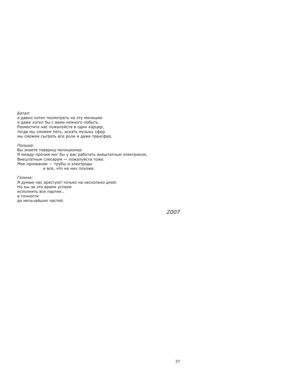Батал:

я давно хотел посмотреть на эту милицию я даже хотел бы с вами немного побыть. Разместите нас пожалуйста в один карцер, тогда мы сможем петь, искать музыку сфер. мы сможем сыграть все роли и даже трансфер.

Польша: Вы знаете товарищ милиционер Я между прочим мог бы у вас работать внештатным электриком, Внештатным слесарем - пожалуйста тоже. Мое призвание - трубы и электроды и все, что на них похоже.

Галина: Я думаю нас арестуют только на несколько дней. Но мы за это время успеем исполнить все партии... в точности до мельчайших частей.

2007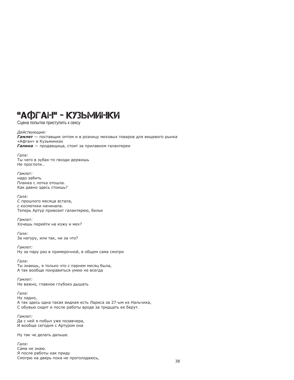# "АФГАН" - КУЗЬМИНКИ

Сцена попытки приступить к сексу

Действующие: **Гамлет** - поставшик оптом и в розницу меховых товаров для вешевого рынка «Афган» в Кузьминках Галина - продавщица, стоит за прилавком галантереи

Галя: Ты чего в зубах-то гвозди держишь Не проглоти...

Гамлет: надо забить Планка с лотка отошла. Как давно здесь стоишь?

Галя: С прошлого месяца встала, с косметики начинала. Теперь Артур привозит галантерею, белье

Гамлет: Хочешь перейти на кожу и мех?

Галя: За натуру, или так, ни за что?

Гамлет: Ну за пару раз в примерочной, в общем сама смотри

Галя: Ты знаешь, я только что с парнем месяц была, А так вообще понравиться умею не всегда

Гамлет: Не важно, главное глубоко дышать

Галя: Ну ладно, А так здесь одна такая видная есть Лариса за 27-ым из Нальчика, С обувью сидит и после работы вроде за тридцать ее берут.

Гамлет: Да с ней я побыл уже позавчера, И вообще сегодня с Артуром она

Ну так че делать дальше.

Галя: Сама не знаю. Я после работы как приду Смотрю на дверь пока не проголодаюсь,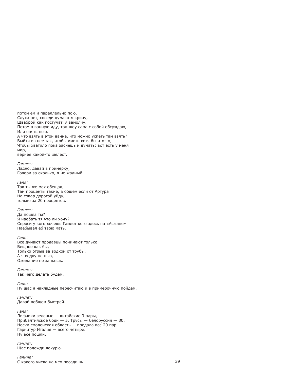потом ем и параллельно пою. Слуха нет, соседи думают я кричу, Шваброй как постучат, я замолчу. Потом в ванную иду, ток-шоу сама с собой обсуждаю, Или опять пою. А что взять в этой ванне, что можно успеть там взять? Выйти из нее так, чтобы иметь хотя бы что-то, Чтобы хватило пока заснешь и думать: вот есть у меня мир, вернее какой-то шелест.

Гамлет:

Ладно, давай в примерку, Говори за сколько, я не жадный.

# Галя:

Так ты же мех обещал, Там проценты такие, в общем если от Артура На товар дорогой уйду, только за 20 процентов.

Гамлет: Да пошла ты? Я наебать тя что ли хочу? Спроси у кого хочешь Гамлет кого здесь на «Афгане» Наебывал еб твою мать.

Галя: Все думают продавцы понимают только Вещное как бы, Только отрыв за водкой от трубы, А я водку не пью. Ожидание не запьешь.

Гамлет<sup>.</sup> Так чего делать будем.

Галя: Ну щас я накладные пересчитаю и в примерочную пойдем.

Гамлет<sup>.</sup> Давай вобщем быстрей.

Галя: Лифчики зеленые — китайские 3 пары, Прибалтийское боди - 5. Трусы - белоруссия - 30. Носки смоленская область — продала все 20 пар. Гарнитур Италия - всего четыре. Ну все пошли.

Гамлет: Щас подожди докурю.

Галина: С какого числа на мех посадишь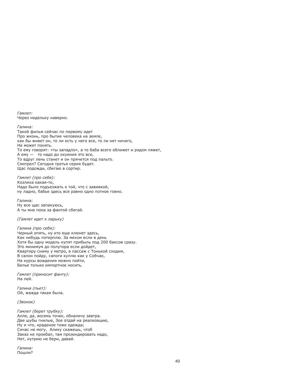Гамлет: Через недельку наверно.

Галина: Такой фильм сейчас по первому идет Про жизнь, про бытие человека на земле, как бы живет он, то ли есть у него все, то ли нет ничего, Не может понять. То ему говорят: «ты западло», а то баба всего оближет и рядом ляжет, А ему - то надо до охуения это все, То вдруг лень станет и он прячется под пальто. Смотрел? Сегодня третья серия будет. Щас подожди, сбегаю в сортир.

Гамлет (про себя): Козлиха какая-то, Надо было подъезжать к той, что с завивкой, ну ладно, бабье здесь все равно одно потное говно.

Галина: Ну все щас запакуюсь, А ты мне пока за фантой сбегай.

(Гамлет идет к ларьку)

Галина (про себя): Черный опять, ну кто еще клюнет здесь, Как нибудь потерплю. За мехом если в день Хотя бы одну модель купят прибыль под 200 баксов сразу. Это минимум до полутора если дойдет, Квартиру сниму у метро, в пассаж с Тонькой сходим, В салон пойду, сапоги куплю как у Собчак, На курсы вождения можно пойти, Белье только импортное носить.

Гамлет (приносит фанту): На пей.

Галина (пьет): Ой, жажда такая была.

(Звонок)

Гамлет (берет трубку): Алле, да, восемь точек, обналичу завтра. Две шубы гнилые, Зое отдай на реализацию, Ну и что, краденое тоже одежда; Сичас не могу, Алику скажешь, чтоб Заказ не проебал, там прозондировать надо, Нет, нутрию не бери, давай.

Галина: Пошли?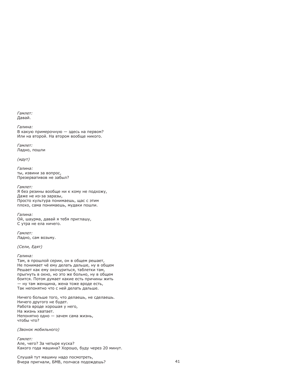Гамлет: Давай.

Галина: В какую примерочную - здесь на первом? Или на второй. На втором вообще никого.

Гамлет: Ладно, пошли

 $(MAYT)$ 

Галина: ты, извини за вопрос, Презервативов не забыл?

Гамлет:

Я без резины вообще ни к кому не подхожу, Даже не из-за заразы, Просто культура понимаешь, щас с этим плохо, сама понимаешь, мудаки пошли.

Галина: Ой, шаурма, давай я тебя приглашу, С утра не ела ничего.

Гамлет: Ладно, сам возьму.

(Сели, Едят)

### Галина:

Там, в прошлой серии, он в общем решает, Не понимает чё ему делать дальше, ну в общем Решает как ему окочуриться, таблетки там, прыгнуть в окно, но это же больно, ну в общем боится. Потом думает какие есть причины жить - ну там женщина, жена тоже вроде есть, Так непонятно что с ней делать дальше.

Ничего больше того, что делаешь, не сделаешь. Ничего другого не будет. Работа вроде хорошая у него, На жизнь хватает. Непонятно одно - зачем сама жизнь, чтобы что?

### (Звонок мобильного)

Гамлет: Але, чего? За четыре куска? Какого года машина? Хорошо, буду через 20 минут.

Слушай тут машину надо посмотреть, Вчера пригнали, БМВ, полчаса подождешь?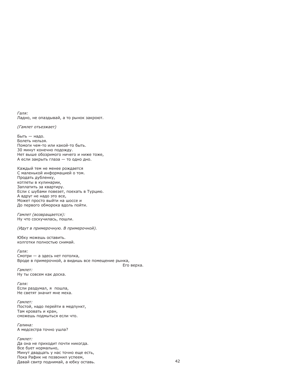Галя: Ладно, не опаздывай, а то рынок закроют.

```
(Гамлет отъезжает)
```
Быть - надо. Болеть нельзя. Помоги чем-то или какой-то быть. 30 минут конечно подожду. Нет выше обозримого ничего и ниже тоже, А если закрыть глаза - то одно дно.

Каждый тем не менее рождается С маленькой информацией о том. Продать дубленку, котлеты в кулинарии, Заплатить за квартиру. Если с шубами повезет, поехать в Турцию. А вдруг не надо это все, Может просто выйти на шоссе и До первого обморока вдоль пойти.

Гамлет (возвращается): Ну что соскучилась, пошли.

(Идут в примерочную. В примерочной).

Юбку можешь оставить. колготки полностью снимай.

Галя: Смотри - а здесь нет потолка. Вроде в примерочной, а видишь все помещение рынка,

Его верха.

Гамлет<sup>.</sup> Ну ты совсем как доска.

Галя: Если раздумал, я пошла, Не светят значит мне меха.

Гамлет: Постой, надо перейти в медпункт, Там кровать и кран, сможешь подмыться если что.

Галина: А медсестра точно ушла?

Гамлет: Да она не приходит почти никогда. Все бует нормально, Минут двадцать у нас точно еще есть, Пока Рафик не позвонил успеем, Давай свитр поднимай, а юбку оставь.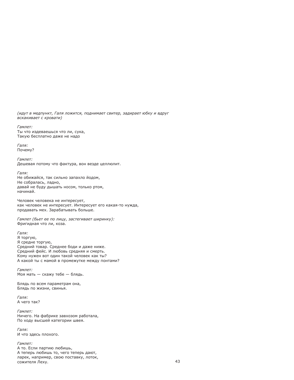(идут в медпункт, Галя ложится, поднимает свитер, задирает юбку и вдруг вскакивает с кровати)

Гамлет<sup>.</sup> Ты что издеваешься что ли, сука, Такую бесплатно даже не надо

Галя: Почему?

Гамлет<sup>.</sup> Дешевая потому что фактура, вон везде целлюлит.

Галя: Не обижайся, так сильно запахло йодом, Не собралась, ладно, давай не буду дышать носом, только ртом, начинай.

Человек человека не интересует, как человек не интересует. Интересует его какая-то нужда, продавать мех. Зарабатывать больше.

Гамлет (бьет ее по лицу, застегивает ширинку): Фригидная что ли, коза.

Галя: Я торгую. Я средне торгую, Средний товар. Среднее боди и даже ниже. Средний фейс. И любовь средняя и смерть. Кому нужен вот один такой человек как ты? А какой ты с мамой в промежутке между понтами?

Гамлет<sup>.</sup> Моя мать - скажу тебе - блядь.

Блядь по всем параметрам она, Блядь по жизни, свинья.

Галя: А чего так?

Гамлет: Ничего. На фабрике завхозом работала, По ходу высшей категории швея.

Галя: И что здесь плохого.

Гамлет:

А то. Если партию любишь. А теперь любишь то, чего теперь дают, ларек, например, свою поставку, лоток, сожителя Леху.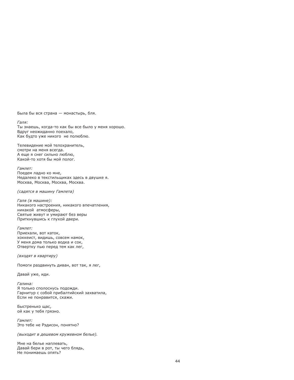Была бы вся страна - монастырь, бля.

 $T$ ang' Ты знаешь, когда-то как бы все было у меня хорошо. Вдруг неожиданно поехало, Как будто уже никого не полюблю.

Телевидение мой телохранитель. смотри на меня всегда. А еще я снег сильно люблю, Какой-то хотя бы мой полог

Гамлет: Поедем ладно ко мне, Недалеко в текстильщиках здесь в двушке я. Москва, Москва, Москва, Москва.

(садятся в машину Гамлета)

Галя (в машине): Никакого настроения, никакого впечатления, никакой атмосферы, Святые живут и умирают без веры Приткнувшись к глухой двери.

Гамлет: Приехали, вот каток, хоккеист, видишь, совсем намок, У меня дома только водка и сок, Отвертку пью перед тем как лег,

(входят в квартиру)

Помоги раздвинуть диван, вот так, я лег,

Давай уже, иди.

Галина: Я только сполоснусь подожди. Гарнитур с собой прибалтийский захватила, Если не понравится, скажи.

Быстренько щас, ой как у тебя грязно.

Гамлет<sup>.</sup> Это тебе не Рэдисон, понятно?

(выходит в дешевом кружевном белье).

Мне на белье наплевать, Давай бери в рот, ты чего блядь, Не понимаешь опять?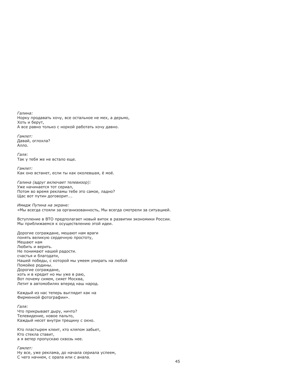Галина: Норку продавать хочу, все остальное не мех, а дерьмо, Хоть и берут, А все равно только с норкой работать хочу давно.

Гампет<sup>.</sup> Давай, оглохла? Алло.

Галя: Так у тебя же не встало еще.

Гамлет: Как оно встанет, если ты как околевшая, ё моё.

Галина (вдруг включает телевизор): Уже начинается тот сериал, Потом во время рекламы тебе это самое, ладно? Шас вот путин договорит....

Имидж Путина на экране:

«Мы всегда стояли за организованность, Мы всегда смотрели за ситуацией.

Вступление в ВТО предполагает новый виток в развитии экономики России. Мы приближаемся к осушествлению этой идеи.

Дорогие сограждане, мешают нам враги понять великую сердечную простоту, Мешают нам Любить и верить. Не понимают нашей радости. счастья и благодати. Нашей победы, с которой мы умеем умирать на любой Помойке родины. Дорогие сограждане, хоть и в кредит но мы уже в раю, Вот почему сияем, сияет Москва, Летит в автомобилях вперед наш народ.

Каждый из нас теперь выглядит как на Фирменной фотографии».

Галя:

Что прикрывает дыру, ничто? Телевидение, новое пальто, Каждый несет внутри трещину с окно.

Кто пластырем клеит, кто кляпом забьет, Кто стекла ставит, а я ветер пропускаю сквозь нее.

Гамлет: Ну все, уже реклама, до начала сериала успеем, С чего начнем, с орала или с анала.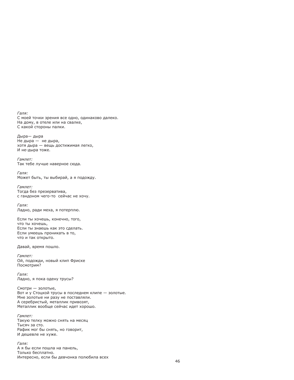Галя: С моей точки зрения все одно, одинаково далеко. На дому, в отеле или на свалке, С какой стороны палки.

Дыра-дыра Не дыра - не дыра, хотя дыра - вещь достижимая легко, И не-дыра тоже.

Гамлет<sup>.</sup> Так тебе лучше наверное сюда.

Галя: Может быть, ты выбирай, а я подожду.

Гамлет: Тогда без презерватива, с гандоном чего-то сейчас не хочу.

Галя: Ладно, ради меха, я потерплю.

Если ты хочешь, конечно, того, что ты хочешь. Если ты знаешь как это сделать. Если умеешь проникать в то, что и так открыто.

Давай, время пошло.

Гамлет: Ой, подожди, новый клип Фриске Посмотрим?

 $Tans'$ Ладно, я пока одену трусы?

Смотри - золотые. Вот и у Стоцкой трусы в последнем клипе - золотые. Мне золотые ни разу не поставляли. А серебристый, металлик привозят, Металлик вообще сейчас идет хорошо.

Гамлет: Такую телку можно снять на месяц Тысяч за сто. Рафик мог бы снять, но говорит, И дешевле не хуже.

Галя: А я бы если пошла на панель. Только бесплатно. Интересно, если бы девчонка полюбила всех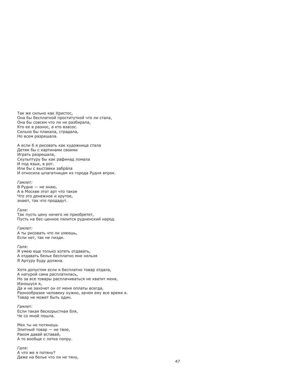Так же сильно как Христос. Она бы бесплатной проституткой что ли стала, Она бы совсем что ли не разбирала. Кто ее в разнос, а кто взасос. Сильно бы плакала, страдала, Но всем разрешала.

А если б я рисовать как художница стала Детям бы с картинами своими Играть разрешала, Скульптуру бы как рафинад ломала И под язык, в рот. Или бы с выставки забра́ла И относила шпагатницам из города Рудня впрок.

Гамлет<sup>.</sup>

В Рудне - не знаю, А в Москве этот арт что такое Что это денежное и крутое. знают, так что продадут.

Галя:

Так пусть цену ничего не приобретет, Пусть на бес-ценное пялится рудненский народ.

Гамлет: А ты рисовать что ли умеешь, Если нет, так не пизди.

Галя:

Я умею еще только хотеть отдавать, А отдавать белье бесплатно мне нельзя Я Артуру буду должна.

Хотя допустим если я бесплатно товар отдала, А натурой сама расплатилась, Но за все товары расплачиваться не хватит меня, Изношуся я, Да и не захочет он от меня оплаты всегда. Разнообразие человеку нужно, зачем ему все время я. Товар не может быть один.

Гамлет: Если такая бескорыстная бля, Че со мной пошла.

Мех ты не потянешь Элитный товар - не твое, Раком давай вставай, А то вообще с лотка попру.

Галя: А что же я потяну? Даже на белье что ли не тяну,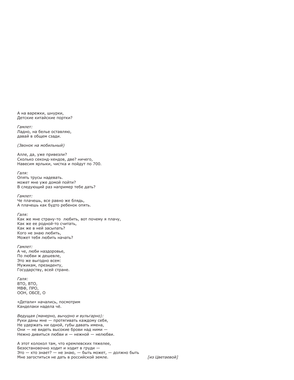А на варежки, шнурки, Детские китайские портки?

Гамлет<sup>.</sup> Ладно, на белье оставляю, давай в общем сзади.

### (Звонок на мобильный)

Алле, да, уже привезли? Сколько секонд-хендов, две? ничего, Навесим ярлыки, чистка и пойдут по 700.

Галя: Опять трусы надевать. может мне уже домой пойти? В следующий раз например тебе дать?

Гампет: Че плачешь, все равно же блядь, А плачешь как будто ребенок опять.

Галя: Как же мне страну-то любить, вот почему я плачу. Как же ее родной-то считать. Как же в ней засыпать? Кого не знаю любить. Может тебя любить начать?

Гамлет: А че, люби наздоровье, По любви ж дешевле. Это же выгодно всем: Мужикам, президенту, Государству, всей стране.

Галя: BTO, BTO, МВФ, ПРО, ООН, ОБСЕ, О

«Детали» начались, посмотрим Канделаки надела чё.

Ведущая (манерно, вычурно и вульгарно): Руки даны мне - протягивать каждому себя, Не удержать ни одной, губы давать имена, Они - не видеть высокие брови над ними -Нежно дивиться любви и - нежной - нелюбви.

А этот колокол там, что кремлевских тяжелее, Безостановочно ходит и ходит в груди -Это - кто знает? - не знаю, - быть может, - должно быть Мне загоститься не дать в российской земле.

Гиз Цветаевой]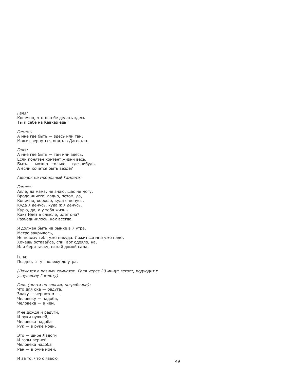### Галя:

Конечно, что ж тебе делать здесь Ты к себе на Кавказ едь!

### Гамлет<sup>.</sup>

А мне где быть - здесь или там. Может вернуться опять в Дагестан.

### Галя:

А мне где быть - там или здесь, Если понятен контент жизни весь. Быть МОЖНО ТОЛЬКО где-нибудь, А если хочется быть везде?

(звонок на мобильный Гамлета)

### Гамлет:

Алле, да мама, не знаю, щас не могу, Вроде ничего, ладно, потом, да, Конечно, хорошо, куда я денусь, Куда я денусь, куда ж я денусь, Курю, да, а у тебя жизнь Как? Идет в смысле, идет она? Разъединилось, как всегда.

Я должен быть на рынке в 7 утра, Метро закрылось, Не повезу тебя уже никуда. Ложиться мне уже надо, Хочешь оставайса, спи, вот одеяло, на, Или бери тачку, езжай домой сама.

# Гапя:

Поздно, я тут полежу до утра.

(Ложатся в разных комнатах. Галя через 20 минут встает, подходит к уснувшему Гамлету)

Галя (почти по слогам, по-ребячьи): Что для ока — радуга, Злаку - чернозем -Человеку — надоба, Человека - в нем.

Мне дождя и радуги, И руки нужней, Человека надоба Рук - в руке моей.

Это - шире Ладоги И горы верней -Человека надоба Ран - в руке моей.

И за то, что с язвою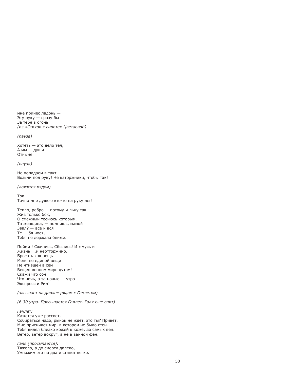мне принес ладонь -Эту руку — сразу бы За тебя в огонь! (из «Стихов к сироте» Цветаевой) (пауза) Хотеть - это дело тел, А мы - души **Отныне** (па*уза*)

Не попадаем в такт Возьми под руку! Не каторжники, чтобы так!

(ложится рядом)

**Tok** Точно мне душою кто-то на руку лег!

Тепло, ребро - потому и льну так. Жив только бок. О смежный теснюсь которым. Та женщина, - помнишь, мамой Звал? - все и вся Те - бя нося, Тебя не держала ближе.

Пойми ! Сжились, Сбылись! И жмусь и Жизнь ....и неотторжимо. Бросать как вешь Меня не единой вещи Не чтившей в сем Вещественном мире дутом! Скажи что сон! Что ночь, а за ночью - утро Экспресс и Рим!

(засыпает на диване рядом с Гамлетом)

(6.30 утра. Просыпается Гамлет. Галя еще спит)

Гамлет: Кажется уже рассвет, Собираться надо, рынок не ждет, это ты? Привет. Мне приснился мир, в котором не было стен. Тебя видел близко кожей к коже, до самых вен. Ветер, ветер вокруг, а не в ванной фен.

Галя (просыпается): Тяжело, а до смерти далеко, Умножим это на два и станет легко.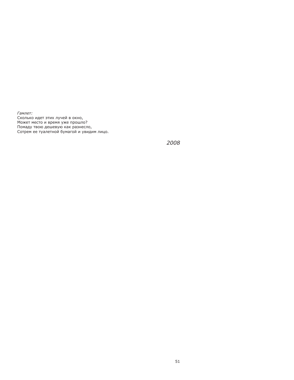Гамлет:

Сколько идет этих лучей в окно, Может место и время уже прошло? Помаду твою дешевую как разнесло, Сотрем ее туалетной бумагой и увидим лицо.

2008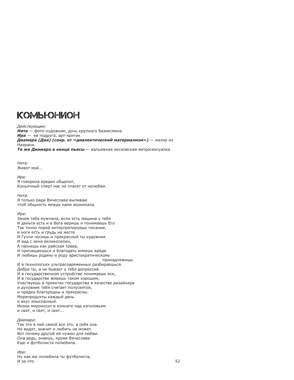# KOMSFOFINOFI

Действующие: Нита - фото-художник, дочь крупного бизнесмена  $Mpa$  — ее подруга, арт-критик

Диамара (Диа) (сокр. от «диалектический материализм») - маляр из Назрани.

Та же Диамара в конце пьесы - вальяжная московская метросексуалка

Нита · Живот мой...

 $Mna:$ Я говорила вреден общепит, Коньячный спирт нас не спасет от нелюбви.

# Нита:

Я только ради Вячеслава выпиваю чтоб обшность между нами возникала.

### Ира:

Зачем тебе мужчина, если есть машина у тебя И деньги есть и в Бога веришь и понимаешь Его Так точно порой интерпретируешь писание, и ноги есть и грудь на месте И Гуччи носишь и прекрасный ты художник И вид с окна великолепен, А пахнешь как райская трава. И причащаешься и благодать имеешь вроде И любишь родину и роду аристократическому принадлежишь. И в технологьях ультрасовременных разбираешься. Добра ты, и не бывает у тебя депрессий. И в государственном устройстве понимаешь все, И в государстве живешь таком хорошем, Участвуешь в проектах государства в качестве дизайнера и духовник тебя считает полусвятой. и предки благородны и прекрасны. Морепродукты каждый день и вкус изысканный. Икона мироносит в комнате над изголовьем И СВЯТ, И СВЯТ, И СВЯТ...

# Диамара:

Так это в ней самой все это, а себя она Не видит, значит и любить не может. Вот почему другой ей нужен для любви. Она ведь, знаешь, кроме Вячеслава Еще и футболиста полюбила.

# Ира:

Ну как же полюбила ты футболиста, И за что.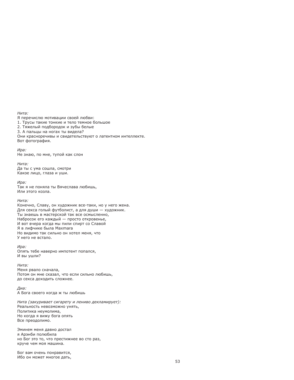### Нита ·

Я перечислю мотивации своей любви: 1. Трусы такие тонкие и тело темное большое 2. Тяжелый подбородок и зубы белые 3. А пальцы на ногах ты видела? Они красноречивы и свидетельствуют о латентном интеллекте. Вот фотография.

### Ира:

Не знаю, по мне, тупой как слон

### Нита:

Да ты с ума сошла, смотри Какое лицо, глаза и уши.

### Ира:

Так я не поняла ты Вячеслава любишь, Или этого козла.

### Нита:

Конечно, Славу, он художник все-таки, но у него жена. Для секса голый футболист, а для души - художник. Ты знаешь в мастерской так все осмысленно, Набросок его каждый — просто откровенье. И вот вчера когда мы пили спирт со Славой Я в лифчике была Maxmara Но видимо так сильно он хотел меня, что У него не встало.

### Ира:

Опять тебе наверно импотент попался, И вы ушли?

# Нита:

Меня рвало сначала, Потом он мне сказал, что если сильно любишь, до секса доходить сложнее.

Диа: А Бога своего когда ж ты любишь

Нита (закуривает сигарету и лениво декламирует): Реальность невозможно унять, Политика неумолима, Но когда я вижу бога опять Все преодолимо.

Эминем меня давно достал я Арэнби полюбила но Бог это то, что престижнее во сто раз, круче чем моя машина.

Бог вам очень понравится, Ибо он может многое дать,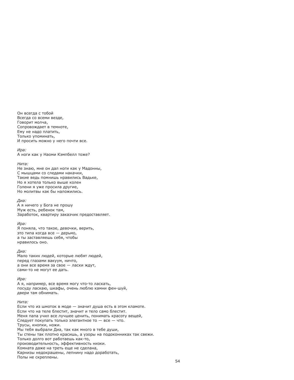Он всегда с тобой Всегда со всеми везде, Говорит молча, Сопровождает в темноте, Ему не надо платить, Только упоминать, И просить можно у него почти все.

### Ира:

А ноги как у Наоми Кэмпбелл тоже?

### Нита:

Не знаю, мне он дал ноги как у Мадонны, С мышцами со следами накачки, Такие ведь помнишь нравились Вадьке, Но я хотела только выше колен Голени я уже просила другие, Но молитвы как бы наложились.

### Диа:

А я ничего у Бога не прошу Муж есть, ребенок там, Заработок, квартиру заказчик предоставляет.

### Ира:

Я поняла, что такое, девочки, верить, это типа когда все - дерьмо, а ты заставляешь себя, чтобы нравилось оно.

### Диа:

Мало таких людей, которые любят людей, перед глазами вакуум, ничто, а они все время за свое - ласки ждут, сами-то не могут ее дать.

### Ира:

А я, например, все время могу что-то ласкать, посуду ласкаю, шкафы, очень люблю камни фен-шуй, двери там обнимать.

### Нита:

Если что из шмоток в моде - значит душа есть в этом кламоте. Если что на теле блестит, значит и тело само блестит. Меня папа учил все лучшее ценить, понимать красоту вещей, Следует покупать только элегантное то - все - что. Трусы, кнопки, ножи. Мы тебя выбрали Диа, так как много в тебе души, Ты стены так плотно красишь, а узоры на подоконниках так свежи. Только долго вот работаешь как-то, производительность, эффективность низки. Комната даже на треть еще не сделана, Карнизы недокрашены, лепнину надо доработать, Полы не скреплены.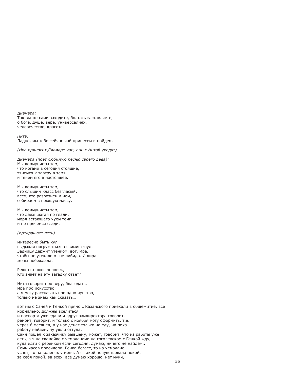Диамара:

Так вы же сами заходите, болтать заставляете, о боге, душе, вере, универсалиях, человечестве, красоте.

Нита: Ладно, мы тебе сейчас чай принесем и пойдем.

(Ира приносит Диамаре чай, они с Нитой уходят)

Диамара (поет любимую песню своего деда): Мы коммунисты тем, что ногами в сегодня стоящие, тянемся к завтру в темя и тянем его в настоящее.

Мы коммунисты тем, что слышим класс безгласый. всех, кто разрознен и нем, собираем в поющую массу.

Мы коммунисты тем, что даже шагая по глади, моря встающего чуем темп и не прячемся сзади.

(прекращает петь)

Интересно быть кул, выдыхая погружаться в свиминг-пул. Задницу держит утенком, вот, Ира, чтобы не утекало от не либидо. И лира жопы побеждала.

Решетка плюс человек, Кто знает на эту загадку ответ?

Нита говорит про веру, благодать, Ира про искусство. а я могу рассказать про одно чувство, ТОЛЬКО НА ЗНАЮ КАК СКАЗАТЬ

вот мы с Саней и Генкой прямо с Казанского приехали в общежитие, все нормально, должны вселиться, и паспорта уже сдали и вдруг замдиректора говорит, ремонт, говорит, и только с ноября могу оформить, т.е. через 6 месяцев, а у нас денег только на еду, на пока работу найдем, ну ушли оттуда, Саня пошел к заказчику бывшему, может, говорит, что из работы уже есть, а я на скамейке с чемоданами на гоголевском с Генкой жду, куда идти с ребенком если сегодня, думаю, ничего не найдем.. Семь часов просидели. Генка бегает, то на чемодане уснет, то на коленях у меня. А я такой почувствовала покой, за себя покой, за всех, всё думаю хорошо, нет муки,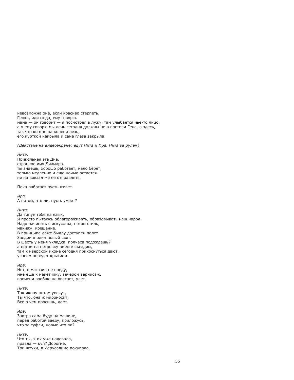невозможна она, если красиво стерпеть, Генка, иди сюда, ему говорю. мама - он говорит - я посмотрел в лужу, там улыбается чье-то лицо, а я ему говорю мы лечь сегодня должны не в постели Гена, а здесь, так что ко мне на колени лезь. его курткой накрыла и сама глаза закрыла.

(Действие на видеоэкране: едут Нита и Ира. Нита за рулем)

### Нита ·

Прикольная эта Диа, странное имя Диамара. ты знаешь, хорошо работает, мало берет, только медленно и еще ночью остается. не на вокзал же ее отправлять.

Пока работает пусть живет.

 $Mna:$ А потом, что ли, пусть умрет?

Нита:

Да типун тебе на язык. Я просто пытаюсь облагораживать, образовывать наш народ. Надо начинать с искусства, потом стиль, макияж, крещение. В принципе даже быдлу доступен полет. Заедем в один новый шоп. В шесть у меня укладка, полчаса подождешь? а потом на петровку вместе съездим, там к иверской иконе сегодня прикоснуться дают, успеем перед открытием.

Ира:

Нет, в магазин не поеду, мне еще к макетчику, вечером вернисаж, времени вообще не хватает, улет.

Нита:

Так икону потом увезут, Ты что, она ж мироносит, Все о чем просишь, дает.

Ира:

Завтра сама буду на машине, перед работой заеду, приложусь, что за туфли, новые что ли?

Нита:

Что ты, я их уже надевала, правда — кул? Дорогие, Три штуки, в Иерусалиме покупала.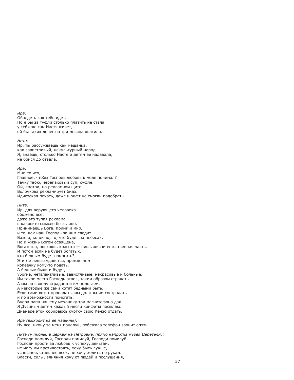# И<sub>D</sub>а:

Обалдеть как тебе идет. Но я бы за туфли столько платить не стала. у тебя же там Настя живет, ей бы таких денег на три месяца хватило.

### Нита:

Ир, ты рассуждаешь как мешанка, как завистливый, некультурный народ. Я, знаешь, столько Насте и детям ее надавала, не бойся до отвала.

# Ира:

Мне-то что. Главное, чтобы Господь любовь к моде понимал? Тачку твою, черепаховый суп, суфле. Ой, смотри, на рекламном щите Волочкова рекламирует бидэ. Идиотская печать, даже шрифт не смогли подобрать.

# Нита ·

Ир, для верующего человека обо́жено всё. даже это тупая реклама в каком-то смысле бога лицо. Принимаешь Бога, прими и мир, и то, как наш Господь за ним следит. Важно, конечно, то, что будет на небесах, Но и жизнь Богом освящена, Богатство, роскошь, красота - лишь жизни естественная часть. И потом если не будет богатых, кто бедным будет помогать? Эти же левые удавятся, прежде чем копеечку кому-то подать. А бедные были и будут, убогие, неталантливые, завистливые, некрасивые и больные. Им такое место Господь отвел, таким образом страдать. А мы по своему страдаем и им помогаем. А некоторые же сами хотят бедными быть. Если сами хотят пропадать, мы должны им сострадать и по возможности помогать. Вчера папа нашему механику три магнитофона дал. Я Дусиным детям каждый месяц конфеты посылаю. Диамаре этой собираюсь куртку свою Кензо отдать. Ира (выходит из ее машины): Ну все, икону за меня поцелуй, побежала телефон звонит опять.

Нита (у иконы, в церкви на Петровке, прямо напротив музея Церетели): Господи помилуй, Господи помилуй, Господи помилуй, Господи прости за любовь к успеху, деньгам, не могу им противостоять, хочу быть лучше, успешнее, стильнее всех, не хочу ходить по рукам. Власти, силы, влияния хочу от людей и послушания,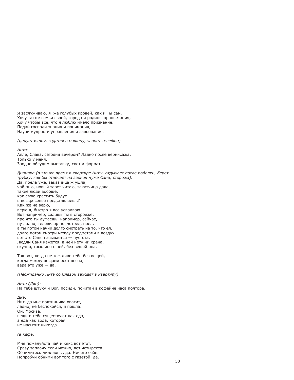Я заслуживаю, я же голубых кровей, как и Ты сам. Хочу также семьи своей, города и родины процветания, Хочу чтобы всё, что я люблю имело признание. Подай господи знания и понимания, Научи мудрости управления и завоевания.

(целует икону, садится в машину, звонит телефон)

Нита · Алле. Слава, сегодня вечером? Ладно после вернисажа, Только у меня, Заодно обсудим выставку, свет и формат.

Диамара (в это же время в квартире Ниты, отдыхает после побелки, берет трубку, как бы отвечает на звонок мужа Сани, сторожа): Да, поела уже, заказчица ж ушла, чай пью, новый завет читаю, заказчица дала, такие люди вообще. как свою крестить будут в воскресенье представляешь? Как же не верю. верю я, быстро я все усваиваю. Вот например, сидишь ты в сторожке, про что ты думаешь, например, сейчас, ну ладно, телевизор посмотрел, поел, а ты потом начни долго смотреть на то, что ел, долго потом смотри между предметами в воздух, вот это Саня называется - пустота. Людям Саня кажется, в ней нету ни хрена, скучно, тоскливо с ней, без вещей она.

Так вот, когда не тоскливо тебе без вещей, когда между вещами реет весна, вера это уже - да.

(Неожиданно Нита со Славой заходят в квартиру)

Нита (Дие): На тебе штуку и Вог, посиди, почитай в кофейне часа полтора.

Диа:

Нит, да мне полтинника хватит, ладно, не беспокойся, я пошла. Ой, Москва, вещи в тебе существуют как еда, а еда как вода, которая не насытит никогда...

(в кафе)

Мне пожалуйста чай и кекс вот этот. Сразу заплачу если можно, вот четыреста. Обнимитесь миллионы, да. Ничего себе. Попробуй обними вот того с газетой, да.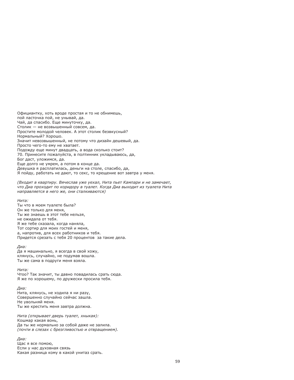Официантку, хоть вроде простая и то не обнимешь, пой ласточка пой, не унывай, да. Чай, да спасибо. Еще минуточку, да. Столик - не возвышенный совсем, да. Простите молодой человек. А этот столик безвкусный? Нормальный? Хорошо. Значит невозвышенный, не потому что дизайн дешевый, да. Просто чего-то ему не хватает. Подожду еще минут двадцать, а вода сколько стоит? 70. Принесите пожалуйста, в полтинник укладываюсь, да, Бог даст, уложимся, да. Еще долго не умрем, а потом в конце да. Девушка я расплатилась, деньги на столе, спасибо, да, Я пойду, работать не дают, то секс, то крещение вот завтра у меня.

(Входит в квартиру. Вячеслав уже уехал, Нита пьет Кампари и не замечает, что Диа проходит по коридору в туалет. Когда Диа выходит из туалета Нита направляется в него же, они сталкиваются)

### Нита:

Ты что в моем туалете была? Он же только для меня, Ты же знаешь в этот тебе нельзя. не ожилала от тебя. Я же тебе сказала, когда наняла, Тот сортир для моих гостей и меня, а, напротив, для всех работников и тебя. Придется срезать с тебя 20 процентов за такие дела.

Диа:

Да я машинально, я всегда в свой хожу, клянусь, случайно, не подумав вошла. Ты же сама в подруги меня взяла.

Нита: Чтоо? Так значит, ты давно повадилась срать сюда. Я же по хорошему, по дружески просила тебя.

Диа: Нита, клянусь, не ходила я ни разу, Совершенно случайно сейчас зашла. Не увольняй меня. Ты же крестить меня завтра должна.

Нита (открывает дверь туалет, хныкая): Кошмар какая вонь, Да ты же нормально за собой даже не залила. (почти в слезах с брезгливостью и отвращением).

Диа: Шас я все помою, Если у нас духовная связь Какая разница кому в какой унитаз срать.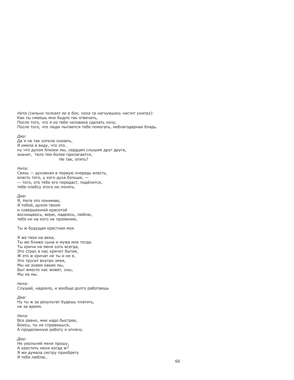Нита (сильно толкает ее в бок, пока та нагнувшись чистит унитаз): Как ты смеешь мне быдло так отвечать, После того, что я из тебя человека сделать хочу, После того, что люди пытаются тебе помогать, неблагодарная блядь.

Диа:

Да я не так хотела сказать, Я имела в виду, что это.. ну что духом близки мы, сердцем слышим друг друга, значит, тело тем более прилагается, Не так, опять?

Нита:

Связь - духовная в первую очередь власть, власть того, у кого духа больше, -- того, кто тебе его передаст, поде́лится, тебе плебсу этого не понять.

# Диа:

Я, Нита это понимаю, Я тобой, духом твоим и совершенной красотой восхищаюсь, верю, надеюсь, люблю, тебя ни на кого не променяю.

Ты ж будущая крестная моя.

Я же твоя на века. Ты же ближе сына и мужа мне тогда. Ты кричи на меня хоть всегда, Это страх в нас кричит бытия, Ж это ж кричат не ты и не я. Это трусит внутри змея, Мы не знаем какие мы, Быт вместо нас живет, сны, Мы не мы.

Нита: Слушай, надоело, и вообще долго работаешь

Диа: Ну ты ж за результат будешь платить, не за время.

Нита: Все равно, мне надо быстрее, Боюсь, ты не справишься, А проделанную работу я оплачу.

Диа: Не увольняй меня прошу, А крестить меня когда ж? Я же думала сестру приобрету Я тебя люблю...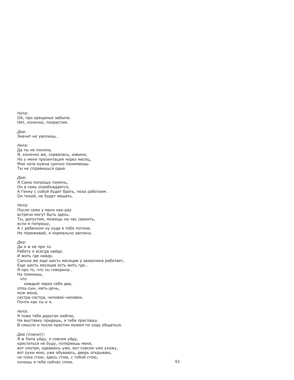Нита · Ой, про крещенье забыла. Нет, конечно, покрестим.

Диа: Значит не уволишь...

### Нита:

Да ты не поняла, Я, конечно же, сорвалась, извини, Но у меня презентация через месяц, Мне хата нужна срочно понимаешь. Ты не справишься одна.

#### Диа:

Я Саню попрошу помочь, Он в семь освобождается, А Генку с собой будет брать, пока работаем. Он тихий, не будет мешать.

### Нита ·

После семи у меня как-раз встречи могут быть здесь. Ты, допустим, можешь на час свалить, если я попрошу. А с ребенком ну куда я тебя погоню. Не переживай, я нормально заплачу.

### Диа:

Даяжне про то. Работу я всегда найду. И жить где найду. Санька же еще шесть месяцев у заказчика работает, Еще шесть месяцев есть жить где... Я про то, что ты говорила... Ну помнишь, **HTO** каждый через себя два, отец-сын, мать-дочь, муж жена, сестра-сестра, человек-человек. Почти как ты и я.

### Нита:

Я тоже тебя дорогая люблю, На выставку придешь, я тебя приглашу. В смысле и после крестин можем по ходу общаться.

Диа (плачет): Я ж Нита уйду, я совсем уйду, креститься не буду, потеряешь меня, вот смотри, одеваюсь уже, вот совсем уже ухожу, вот руки мою, уже обуваюсь, дверь открываю, но пока стою, здесь стою, с тобой стою, хочешь я тебе сейчас спою.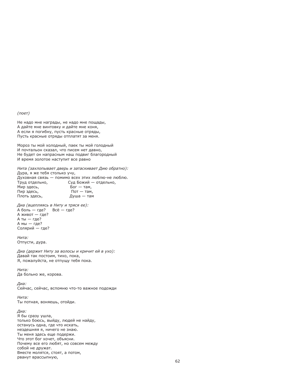# $(noer)$

Не надо мне награды, не надо мне пошады, А дайте мне винтовку и дайте мне коня, А если я погибну, пусть красные отряды, Пусть красные отряды отплатят за меня.

Мороз ты мой холодный, паек ты мой голодный И почтальон сказал, что писем нет давно, Не будет он напрасным наш подвиг благородный И время золотое наступит все равно

Нита (захлопывает дверь и затаскивает Дию обратно): Дура, я же тебя столько учу, Духовная связь - помимо всех этих люблю-не люблю. Труд отдельно, Суд Божий — отдельно, Мир здесь, Бог — там, Пир здесь, Пот - там, Плоть здесь,  $\Delta$ vша — там

Диа (вцепляясь в Ниту и тряся ее): А боль — где?  $Bc\ddot{e}$  — где? А живот - где?  $A_{TH} - rne?$ А мы - где? Солярий - где?

Нита: Отпусти, дура.

Диа (держит Ниту за волосы и кричит ей в ухо): Давай так постоим, тихо, пока, Я, пожалуйста, не отпущу тебя пока.

Нита: Да больно же, корова.

Диа: Сейчас, сейчас, вспомню что-то важное подожди

Нита •

Ты потная, воняешь, отойди.

# Диа:

Я бы сразу ушла, только боюсь, выйду, людей не найду, останусь одна, где что искать, нездешняя я, ничего не знаю. Ты меня здесь еще подержи. Что этот бог хочет, объясни. Почему все его любят, но совсем между собой не дружат. Вместе молятся, стоят, а потом, рванут врассыпную,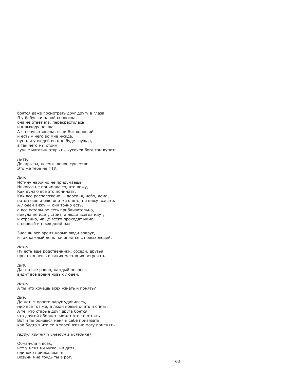боятся даже посмотреть друг другу в глаза. Я у бабушки одной спросила, она не ответила, перекрестилась и к выходу пошла. А я почувствовала, если Бог хороший и есть у него во мне нужда, пусть и у людей во мне будет нужда, а так чего мы стоим. лучше магазин открыть, кусочек бога там купить.

### Нита:

Дикарь ты, несмышленое существо. Это же тебе не ПТУ.

### Диа:

Истину нарочно не придумаешь. Никогда не понимала то, что вижу, Как думаю все это понимать, Как все расположено - деревья, небо, дома, потом еще и еще они же опять, не вижу все это. А людей вижу - они точно есть, а всё остальное есть приблизительно, никуда не идет, стоит, а люди всегда идут, и странно, чаше всего проходят мимо в первый и последний раз.

Знаешь все время новые люди вокруг, и так каждый день начинается с новых людей.

### Нита:

Ну есть еще родственники, соседи, друзья, просто знаешь в каких местах их встречать.

### Диа:

Да, но все равно, каждый человек видит все время новых людей.

Нита:

А ты что хочешь всех узнать и понять?

### Диа:

Да нет, я просто вдруг удивилась, мир все тот же, а люди новые опять и опять. А те, кто старые друг друга боятся, что другой обманет, может что-то отнять. Вот и ты боишься меня к себе привязать, как будто я что-то в твоей жизни могу поменять.

(вдруг кричит и смеется в истерике)

Обманула я всех, нет у меня ни мужа, ни дитя, одиноко приехавшая я. Возьми мне грудь ты в рот,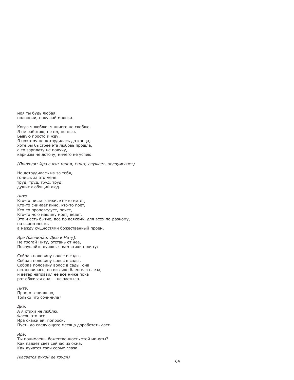моя ты будь любая. полопочи, покушай молока.

Когда я люблю, я ничего не скоблю, Я не работаю, не ем, не пью. Бывую просто и жду. Я поэтому не дотрудилась до конца, хотя бы быстрее эта любовь прошла. а то зарплату не получу, карнизы не доточу, ничего не успею.

#### (Приходит Ира с лэп-топом, стоит, слушает, недоумевает)

Не дотрудилась из-за тебя. **PHAIN OTE SA JIINHOT** труд, труд, труд, труд, душит любящий люд.

### Нита ·

Кто-то пишет стихи, кто-то метет, Кто-то снимает кино, кто-то поет. Кто-то проповедует, речет, Кто-то мою машину моет, ведет. Это и есть бытие, всё по всякому, для всех по-разному, на своем месте. а между сущностями божественный проем.

Ира (разнимает Дию и Ниту): Не трогай Ниту, отстань от нее, Послушайте лучше, я вам стихи прочту:

Собрав половину волос в сады, Собрав половину волос в сады, Собрав половину волос в сады, она остановилась, во взгляде блестела слеза, и ветер направил ее все ниже пока рот обжигая она - не застыла.

Нита: Просто гениально, Только что сочинила?

Диа: А я стихи не люблю. Фасон это все. Ира скажи ей, попроси, Пусть до следующего месяца доработать даст.

Ира: Ты понимаешь божественность этой минуты? Как падает свет сейчас из окна, Как лучатся твои серые глаза.

(касается рукой ее груди)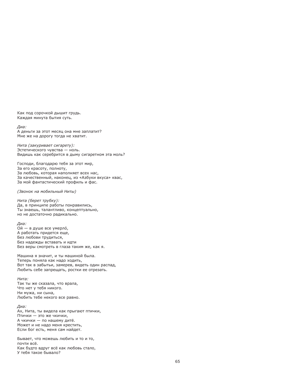Как под сорочкой дышит грудь. Каждая минута бытия суть.

Диа:

А деньги за этот месяц она мне заплатит? Мне же на дорогу тогда не хватит.

Нита (закуривает сигарету): Эстетического чувства - ноль. Видишь как серебрится в дыму сигаретном эта моль?

Господи, благодарю тебя за этот мир, За его красоту, полноту, За любовь, которая наполняет всех нас, За качественный, наконец, из «Азбуки вкуса» квас, За мой фантастический профиль и фас.

(Звонок на мобильный Ниты)

Нита (берет трубку): Да, в принципе работы понравились, Ты знаешь, талантливо, концептуально, но не достаточно радикально.

Диа:

Ой — в душе все умерло́, А работать придется еще. Без любови трудиться, Без надежды вставать и идти Без веры смотреть в глаза таким же, как я.

Машина я значит, и ты машиной была. Теперь поняла как надо ходить, Вот так в забытьи, замерев, видеть один распад, Любить себе запрещать, ростки ее отрезать.

Нита: Так ты же сказала, что врала, Что нет у тебя никого. Ни мужа, ни сына, Любить тебе некого все равно.

Диа: Ах, Нита, ты видела как прыгают птички, Птички - это же чкички, А чкички - по нашему дитё. Может и не надо меня крестить, Если бог есть, меня сам найдет.

Бывает, что можешь любить и то и то, почти всё. Как будто вдруг всё как любовь стало. У тебя такое бывало?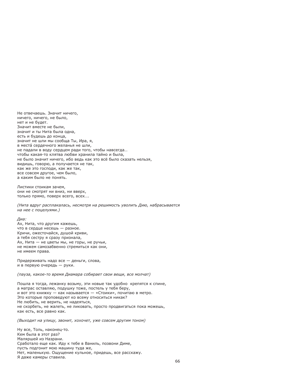Не отвечаешь. Значит ничего. ничего, ничего, не было, нет и не будет. Значит вместе не были. значит и ты Нита была одна. есть и будешь до конца, значит не шли мы сообша Ты, Ира, я, в места́ сердечного желанья не шли. не падали в воду сердцем ради того, чтобы навсегда... чтобы какая-то клятва любви хранила тайно и была, не было значит ничего, ибо ведь как это всё было сказать нельзя, видишь, говорю, а получается не так, как же это господи, как же так, все совсем другое, чем было, а каким было не понять.

Листики стоикам зачем, они не смотрят ни вниз, ни вверх, только прямо, поверх всего, всех....

(Нита вдруг расплакалась, несмотря на решимость уволить Дию, набрасывается на нее с поцелуями.)

Лиа: Ах, Нита, что другим кажешь, что в сердце несешь - разное. Кричи, ожесточайся, душой криви, а тебя сестру я сразу признала, Ах, Нита - не цветы мы, не горы, не ручьи, не можем самозабвенно стремиться как они, не имеем права.

Придерживать надо все - деньги, слова, и в первую очередь - руки.

(пауза, какое-то время Диамара собирает свои вещи, все молчат)

Пошла я тогда, лежанку возьму, эти новые так удобно крепятся к спине, а матрас оставляю, подушку тоже, постель у тебя беру, и вот это книжку - как называется - «Стоики», почитаю в метро. Это которые проповедуют ко всему относиться никак? Не любить, не верить, не надеяться, не скорбеть, не жалеть, не ликовать, просто продвигаться пока можешь, как есть, все равно как.

(Выходит на улицу, звонит, хохочет, уже совсем другим тоном)

Ну все, Толь, наконец-то. Кем была в этот раз? Маляршей из Назрани. Сработало еще как. Иду к тебе в Ваниль, позвони Диме, пусть подгонит мою машину туда же, Нет, маленькую. Ощущение кульное, придешь, все расскажу. Я даже камеры ставила.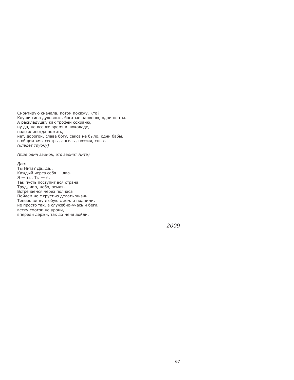Смонтирую сначала, потом покажу. Кто? Клуши типа духовные, богатые парвеню, одни понты. А раскладушку как трофей сохраню. ну да, не все же время в шоколаде, надо ж иногда пожить, нет, дорогой, слава богу, секса не было, одни бабы, в общем «мы сестры, ангелы, поэзия, сны». (кладет трубку)

(Еще один звонок, это звонит Нита)

### Диа:

Ты Нита? Да...да.. Каждый через себя - два.  $A - Tbl$ . Ты - я, Так пусть поступит вся страна. Труд, мир, небо, земля. Встречаемся через полчаса Пойдем не с грустью делать жизнь. Теперь ветку любую с земли подними, не просто так, а служебно-учась и беги, ветку смотри не урони, впереди держи, так до меня дойди.

2009